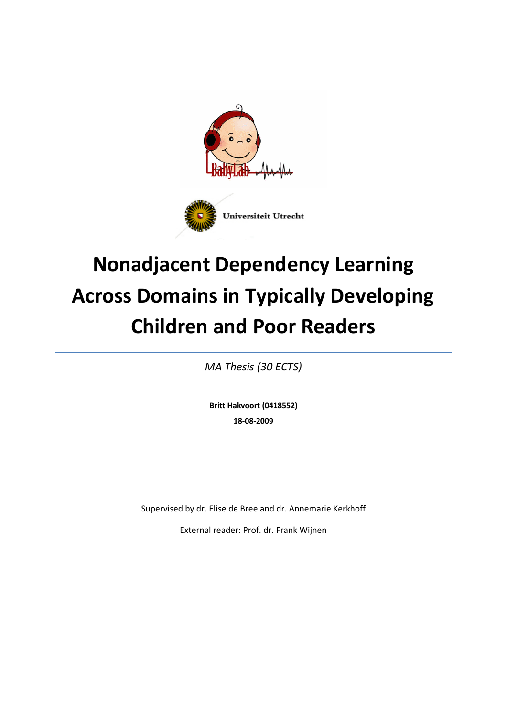



# **Nonadjacent Dependency Learning Across Domains in Typically Developing Children and Poor Readers**

*MA Thesis (30 ECTS)*

**Britt Hakvoort (0418552) 18-08-2009**

Supervised by dr. Elise de Bree and dr. Annemarie Kerkhoff

External reader: Prof. dr. Frank Wijnen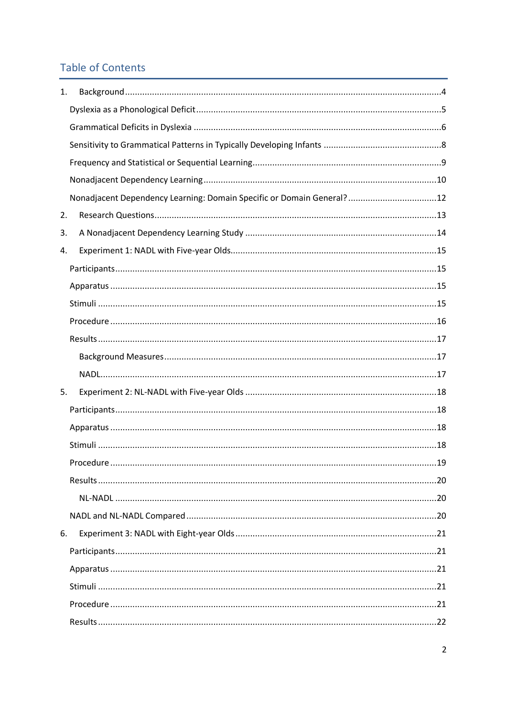## **Table of Contents**

| 1. |                                                                       |    |
|----|-----------------------------------------------------------------------|----|
|    |                                                                       |    |
|    |                                                                       |    |
|    |                                                                       |    |
|    |                                                                       |    |
|    |                                                                       |    |
|    | Nonadjacent Dependency Learning: Domain Specific or Domain General?12 |    |
| 2. |                                                                       |    |
| 3. |                                                                       |    |
| 4. |                                                                       |    |
|    |                                                                       |    |
|    |                                                                       |    |
|    |                                                                       |    |
|    |                                                                       |    |
|    |                                                                       |    |
|    |                                                                       |    |
|    |                                                                       |    |
| 5. |                                                                       |    |
|    |                                                                       |    |
|    |                                                                       |    |
|    |                                                                       |    |
|    | Procedure                                                             | 19 |
|    |                                                                       |    |
|    |                                                                       |    |
|    |                                                                       |    |
| 6. |                                                                       |    |
|    |                                                                       |    |
|    |                                                                       |    |
|    |                                                                       |    |
|    |                                                                       |    |
|    |                                                                       |    |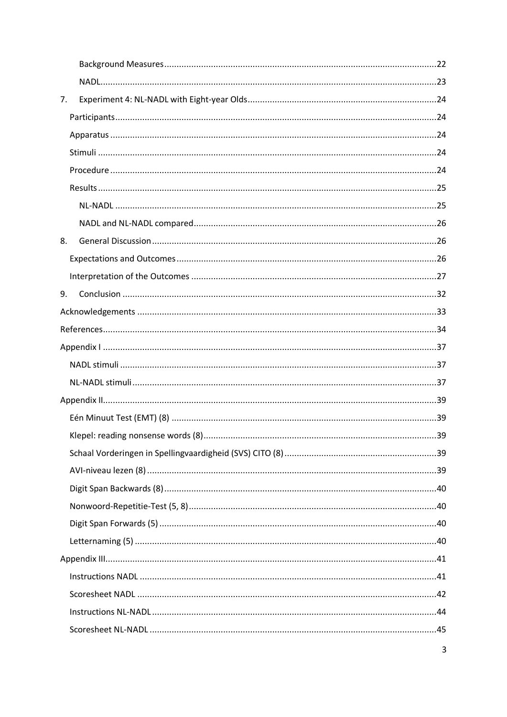| 7. |  |
|----|--|
|    |  |
|    |  |
|    |  |
|    |  |
|    |  |
|    |  |
|    |  |
| 8. |  |
|    |  |
|    |  |
| 9. |  |
|    |  |
|    |  |
|    |  |
|    |  |
|    |  |
|    |  |
|    |  |
|    |  |
|    |  |
|    |  |
|    |  |
|    |  |
|    |  |
|    |  |
|    |  |
|    |  |
|    |  |
|    |  |
|    |  |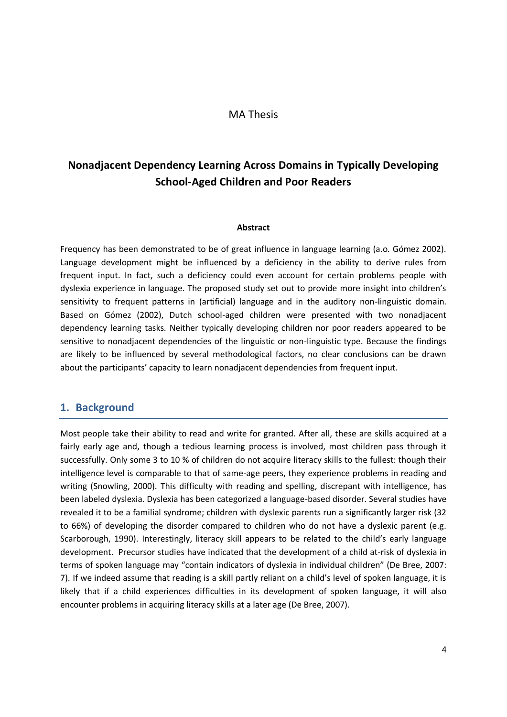#### MA Thesis

## **Nonadjacent Dependency Learning Across Domains in Typically Developing School-Aged Children and Poor Readers**

#### **Abstract**

Frequency has been demonstrated to be of great influence in language learning (a.o. Gómez 2002). Language development might be influenced by a deficiency in the ability to derive rules from frequent input. In fact, such a deficiency could even account for certain problems people with dyslexia experience in language. The proposed study set out to provide more insight into children's sensitivity to frequent patterns in (artificial) language and in the auditory non-linguistic domain. Based on Gómez (2002), Dutch school-aged children were presented with two nonadjacent dependency learning tasks. Neither typically developing children nor poor readers appeared to be sensitive to nonadjacent dependencies of the linguistic or non-linguistic type. Because the findings are likely to be influenced by several methodological factors, no clear conclusions can be drawn about the participants' capacity to learn nonadjacent dependencies from frequent input.

### <span id="page-3-0"></span>**1. Background**

Most people take their ability to read and write for granted. After all, these are skills acquired at a fairly early age and, though a tedious learning process is involved, most children pass through it successfully. Only some 3 to 10 % of children do not acquire literacy skills to the fullest: though their intelligence level is comparable to that of same-age peers, they experience problems in reading and writing (Snowling, 2000). This difficulty with reading and spelling, discrepant with intelligence, has been labeled dyslexia. Dyslexia has been categorized a language-based disorder. Several studies have revealed it to be a familial syndrome; children with dyslexic parents run a significantly larger risk (32 to 66%) of developing the disorder compared to children who do not have a dyslexic parent (e.g. Scarborough, 1990). Interestingly, literacy skill appears to be related to the child's early language development. Precursor studies have indicated that the development of a child at-risk of dyslexia in terms of spoken language may "contain indicators of dyslexia in individual children" (De Bree, 2007: 7). If we indeed assume that reading is a skill partly reliant on a child's level of spoken language, it is likely that if a child experiences difficulties in its development of spoken language, it will also encounter problems in acquiring literacy skills at a later age (De Bree, 2007).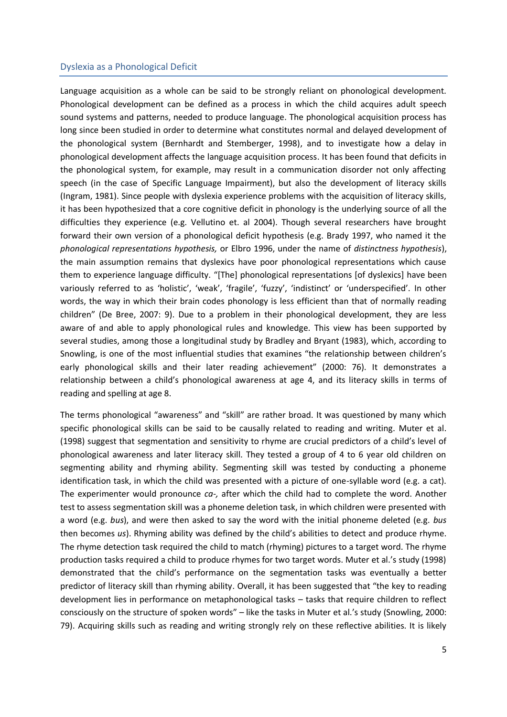#### <span id="page-4-0"></span>Dyslexia as a Phonological Deficit

Language acquisition as a whole can be said to be strongly reliant on phonological development. Phonological development can be defined as a process in which the child acquires adult speech sound systems and patterns, needed to produce language. The phonological acquisition process has long since been studied in order to determine what constitutes normal and delayed development of the phonological system (Bernhardt and Stemberger, 1998), and to investigate how a delay in phonological development affects the language acquisition process. It has been found that deficits in the phonological system, for example, may result in a communication disorder not only affecting speech (in the case of Specific Language Impairment), but also the development of literacy skills (Ingram, 1981). Since people with dyslexia experience problems with the acquisition of literacy skills, it has been hypothesized that a core cognitive deficit in phonology is the underlying source of all the difficulties they experience (e.g. Vellutino et. al 2004). Though several researchers have brought forward their own version of a phonological deficit hypothesis (e.g. Brady 1997, who named it the *phonological representations hypothesis,* or Elbro 1996, under the name of *distinctness hypothesis*), the main assumption remains that dyslexics have poor phonological representations which cause them to experience language difficulty. "[The] phonological representations [of dyslexics] have been variously referred to as 'holistic', 'weak', 'fragile', 'fuzzy', 'indistinct' or 'underspecified'. In other words, the way in which their brain codes phonology is less efficient than that of normally reading children" (De Bree, 2007: 9). Due to a problem in their phonological development, they are less aware of and able to apply phonological rules and knowledge. This view has been supported by several studies, among those a longitudinal study by Bradley and Bryant (1983), which, according to Snowling, is one of the most influential studies that examines "the relationship between children's early phonological skills and their later reading achievement" (2000: 76). It demonstrates a relationship between a child's phonological awareness at age 4, and its literacy skills in terms of reading and spelling at age 8.

The terms phonological "awareness" and "skill" are rather broad. It was questioned by many which specific phonological skills can be said to be causally related to reading and writing. Muter et al. (1998) suggest that segmentation and sensitivity to rhyme are crucial predictors of a child's level of phonological awareness and later literacy skill. They tested a group of 4 to 6 year old children on segmenting ability and rhyming ability. Segmenting skill was tested by conducting a phoneme identification task, in which the child was presented with a picture of one-syllable word (e.g. a cat). The experimenter would pronounce *ca-,* after which the child had to complete the word. Another test to assess segmentation skill was a phoneme deletion task, in which children were presented with a word (e.g. *bus*), and were then asked to say the word with the initial phoneme deleted (e.g. *bus*  then becomes *us*). Rhyming ability was defined by the child's abilities to detect and produce rhyme. The rhyme detection task required the child to match (rhyming) pictures to a target word. The rhyme production tasks required a child to produce rhymes for two target words. Muter et al.'s study (1998) demonstrated that the child's performance on the segmentation tasks was eventually a better predictor of literacy skill than rhyming ability. Overall, it has been suggested that "the key to reading development lies in performance on metaphonological tasks – tasks that require children to reflect consciously on the structure of spoken words" – like the tasks in Muter et al.'s study (Snowling, 2000: 79). Acquiring skills such as reading and writing strongly rely on these reflective abilities. It is likely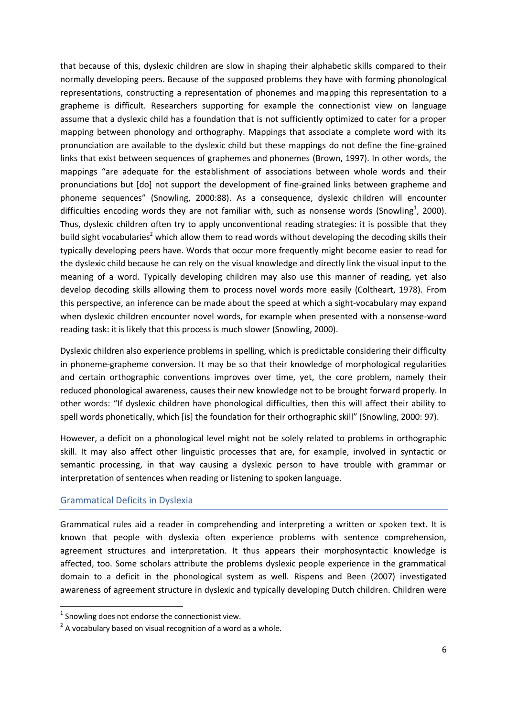that because of this, dyslexic children are slow in shaping their alphabetic skills compared to their normally developing peers. Because of the supposed problems they have with forming phonological representations, constructing a representation of phonemes and mapping this representation to a grapheme is difficult. Researchers supporting for example the connectionist view on language assume that a dyslexic child has a foundation that is not sufficiently optimized to cater for a proper mapping between phonology and orthography. Mappings that associate a complete word with its pronunciation are available to the dyslexic child but these mappings do not define the fine-grained links that exist between sequences of graphemes and phonemes (Brown, 1997). In other words, the mappings "are adequate for the establishment of associations between whole words and their pronunciations but [do] not support the development of fine-grained links between grapheme and phoneme sequences" (Snowling, 2000:88). As a consequence, dyslexic children will encounter difficulties encoding words they are not familiar with, such as nonsense words (Snowling<sup>1</sup>, 2000). Thus, dyslexic children often try to apply unconventional reading strategies: it is possible that they build sight vocabularies<sup>2</sup> which allow them to read words without developing the decoding skills their typically developing peers have. Words that occur more frequently might become easier to read for the dyslexic child because he can rely on the visual knowledge and directly link the visual input to the meaning of a word. Typically developing children may also use this manner of reading, yet also develop decoding skills allowing them to process novel words more easily (Coltheart, 1978). From this perspective, an inference can be made about the speed at which a sight-vocabulary may expand when dyslexic children encounter novel words, for example when presented with a nonsense-word reading task: it is likely that this process is much slower (Snowling, 2000).

Dyslexic children also experience problems in spelling, which is predictable considering their difficulty in phoneme-grapheme conversion. It may be so that their knowledge of morphological regularities and certain orthographic conventions improves over time, yet, the core problem, namely their reduced phonological awareness, causes their new knowledge not to be brought forward properly. In other words: "If dyslexic children have phonological difficulties, then this will affect their ability to spell words phonetically, which [is] the foundation for their orthographic skill" (Snowling, 2000: 97).

However, a deficit on a phonological level might not be solely related to problems in orthographic skill. It may also affect other linguistic processes that are, for example, involved in syntactic or semantic processing, in that way causing a dyslexic person to have trouble with grammar or interpretation of sentences when reading or listening to spoken language.

#### <span id="page-5-0"></span>Grammatical Deficits in Dyslexia

**.** 

Grammatical rules aid a reader in comprehending and interpreting a written or spoken text. It is known that people with dyslexia often experience problems with sentence comprehension, agreement structures and interpretation. It thus appears their morphosyntactic knowledge is affected, too. Some scholars attribute the problems dyslexic people experience in the grammatical domain to a deficit in the phonological system as well. Rispens and Been (2007) investigated awareness of agreement structure in dyslexic and typically developing Dutch children. Children were

 $1$  Snowling does not endorse the connectionist view.

 $2$  A vocabulary based on visual recognition of a word as a whole.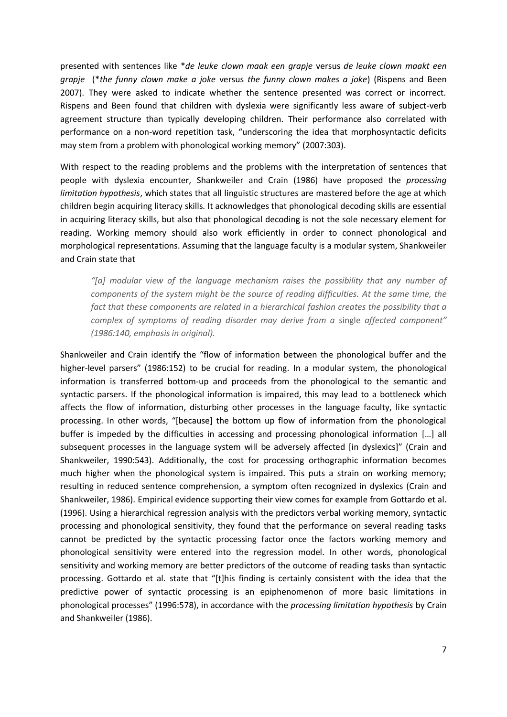presented with sentences like \**de leuke clown maak een grapje* versus *de leuke clown maakt een grapje* (\**the funny clown make a joke* versus *the funny clown makes a joke*) (Rispens and Been 2007). They were asked to indicate whether the sentence presented was correct or incorrect. Rispens and Been found that children with dyslexia were significantly less aware of subject-verb agreement structure than typically developing children. Their performance also correlated with performance on a non-word repetition task, "underscoring the idea that morphosyntactic deficits may stem from a problem with phonological working memory" (2007:303).

With respect to the reading problems and the problems with the interpretation of sentences that people with dyslexia encounter, Shankweiler and Crain (1986) have proposed the *processing limitation hypothesis*, which states that all linguistic structures are mastered before the age at which children begin acquiring literacy skills. It acknowledges that phonological decoding skills are essential in acquiring literacy skills, but also that phonological decoding is not the sole necessary element for reading. Working memory should also work efficiently in order to connect phonological and morphological representations. Assuming that the language faculty is a modular system, Shankweiler and Crain state that

*"[a] modular view of the language mechanism raises the possibility that any number of components of the system might be the source of reading difficulties. At the same time, the fact that these components are related in a hierarchical fashion creates the possibility that a complex of symptoms of reading disorder may derive from a* single *affected component" (1986:140, emphasis in original).*

Shankweiler and Crain identify the "flow of information between the phonological buffer and the higher-level parsers" (1986:152) to be crucial for reading. In a modular system, the phonological information is transferred bottom-up and proceeds from the phonological to the semantic and syntactic parsers. If the phonological information is impaired, this may lead to a bottleneck which affects the flow of information, disturbing other processes in the language faculty, like syntactic processing. In other words, "[because] the bottom up flow of information from the phonological buffer is impeded by the difficulties in accessing and processing phonological information [...] all subsequent processes in the language system will be adversely affected [in dyslexics]" (Crain and Shankweiler, 1990:543). Additionally, the cost for processing orthographic information becomes much higher when the phonological system is impaired. This puts a strain on working memory; resulting in reduced sentence comprehension, a symptom often recognized in dyslexics (Crain and Shankweiler, 1986). Empirical evidence supporting their view comes for example from Gottardo et al. (1996). Using a hierarchical regression analysis with the predictors verbal working memory, syntactic processing and phonological sensitivity, they found that the performance on several reading tasks cannot be predicted by the syntactic processing factor once the factors working memory and phonological sensitivity were entered into the regression model. In other words, phonological sensitivity and working memory are better predictors of the outcome of reading tasks than syntactic processing. Gottardo et al. state that "[t]his finding is certainly consistent with the idea that the predictive power of syntactic processing is an epiphenomenon of more basic limitations in phonological processes" (1996:578), in accordance with the *processing limitation hypothesis* by Crain and Shankweiler (1986).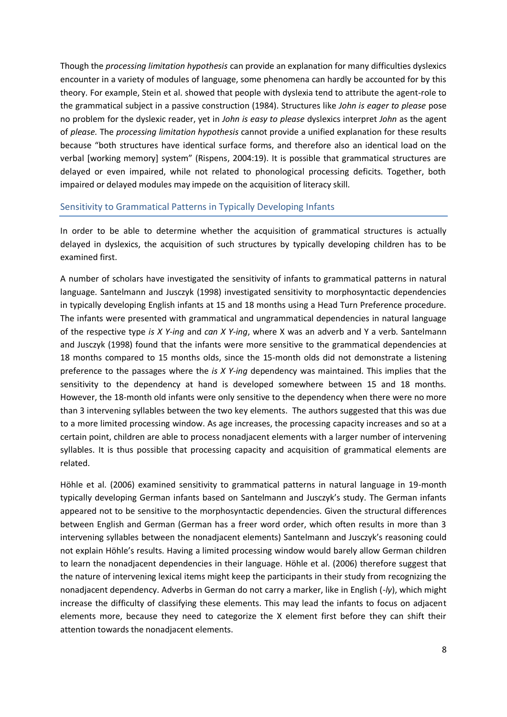Though the *processing limitation hypothesis* can provide an explanation for many difficulties dyslexics encounter in a variety of modules of language, some phenomena can hardly be accounted for by this theory. For example, Stein et al. showed that people with dyslexia tend to attribute the agent-role to the grammatical subject in a passive construction (1984). Structures like *John is eager to please* pose no problem for the dyslexic reader, yet in *John is easy to please* dyslexics interpret *John* as the agent of *please.* The *processing limitation hypothesis* cannot provide a unified explanation for these results because "both structures have identical surface forms, and therefore also an identical load on the verbal [working memory] system" (Rispens, 2004:19). It is possible that grammatical structures are delayed or even impaired, while not related to phonological processing deficits. Together, both impaired or delayed modules may impede on the acquisition of literacy skill.

#### <span id="page-7-0"></span>Sensitivity to Grammatical Patterns in Typically Developing Infants

In order to be able to determine whether the acquisition of grammatical structures is actually delayed in dyslexics, the acquisition of such structures by typically developing children has to be examined first.

A number of scholars have investigated the sensitivity of infants to grammatical patterns in natural language. Santelmann and Jusczyk (1998) investigated sensitivity to morphosyntactic dependencies in typically developing English infants at 15 and 18 months using a Head Turn Preference procedure. The infants were presented with grammatical and ungrammatical dependencies in natural language of the respective type *is X Y-ing* and *can X Y-ing*, where X was an adverb and Y a verb. Santelmann and Jusczyk (1998) found that the infants were more sensitive to the grammatical dependencies at 18 months compared to 15 months olds, since the 15-month olds did not demonstrate a listening preference to the passages where the *is X Y-ing* dependency was maintained. This implies that the sensitivity to the dependency at hand is developed somewhere between 15 and 18 months. However, the 18-month old infants were only sensitive to the dependency when there were no more than 3 intervening syllables between the two key elements. The authors suggested that this was due to a more limited processing window. As age increases, the processing capacity increases and so at a certain point, children are able to process nonadjacent elements with a larger number of intervening syllables. It is thus possible that processing capacity and acquisition of grammatical elements are related.

Höhle et al. (2006) examined sensitivity to grammatical patterns in natural language in 19-month typically developing German infants based on Santelmann and Jusczyk's study. The German infants appeared not to be sensitive to the morphosyntactic dependencies. Given the structural differences between English and German (German has a freer word order, which often results in more than 3 intervening syllables between the nonadjacent elements) Santelmann and Jusczyk's reasoning could not explain Höhle's results. Having a limited processing window would barely allow German children to learn the nonadjacent dependencies in their language. Höhle et al. (2006) therefore suggest that the nature of intervening lexical items might keep the participants in their study from recognizing the nonadjacent dependency. Adverbs in German do not carry a marker, like in English (*-ly*), which might increase the difficulty of classifying these elements. This may lead the infants to focus on adjacent elements more, because they need to categorize the X element first before they can shift their attention towards the nonadjacent elements.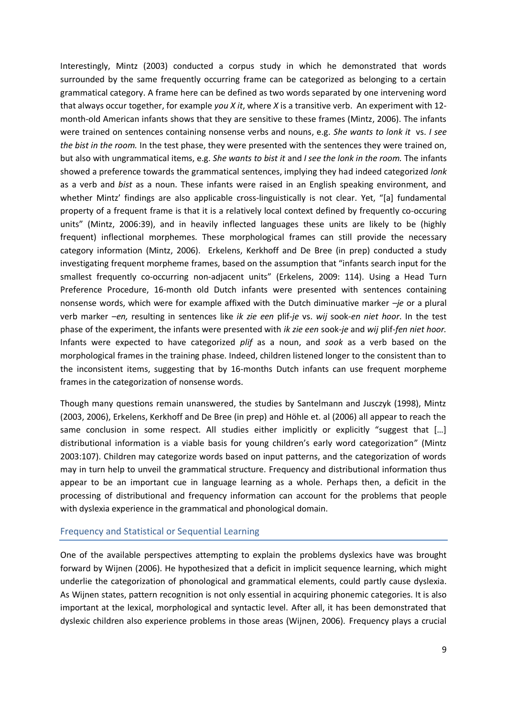Interestingly, Mintz (2003) conducted a corpus study in which he demonstrated that words surrounded by the same frequently occurring frame can be categorized as belonging to a certain grammatical category. A frame here can be defined as two words separated by one intervening word that always occur together, for example *you X it*, where *X* is a transitive verb. An experiment with 12 month-old American infants shows that they are sensitive to these frames (Mintz, 2006). The infants were trained on sentences containing nonsense verbs and nouns, e.g. *She wants to lonk it* vs. *I see the bist in the room.* In the test phase, they were presented with the sentences they were trained on, but also with ungrammatical items, e.g. *She wants to bist it* and *I see the lonk in the room.* The infants showed a preference towards the grammatical sentences, implying they had indeed categorized *lonk*  as a verb and *bist* as a noun. These infants were raised in an English speaking environment, and whether Mintz' findings are also applicable cross-linguistically is not clear. Yet, "[a] fundamental property of a frequent frame is that it is a relatively local context defined by frequently co-occuring units" (Mintz, 2006:39), and in heavily inflected languages these units are likely to be (highly frequent) inflectional morphemes. These morphological frames can still provide the necessary category information (Mintz, 2006). Erkelens, Kerkhoff and De Bree (in prep) conducted a study investigating frequent morpheme frames, based on the assumption that "infants search input for the smallest frequently co-occurring non-adjacent units" (Erkelens, 2009: 114). Using a Head Turn Preference Procedure, 16-month old Dutch infants were presented with sentences containing nonsense words, which were for example affixed with the Dutch diminuative marker *–je* or a plural verb marker *–en,* resulting in sentences like *ik zie een* plif*-je* vs. *wij* sook*-en niet hoor*. In the test phase of the experiment, the infants were presented with *ik zie een* sook-*je* and *wij* plif*-fen niet hoor.*  Infants were expected to have categorized *plif* as a noun, and *sook* as a verb based on the morphological frames in the training phase. Indeed, children listened longer to the consistent than to the inconsistent items, suggesting that by 16-months Dutch infants can use frequent morpheme frames in the categorization of nonsense words.

Though many questions remain unanswered, the studies by Santelmann and Jusczyk (1998), Mintz (2003, 2006), Erkelens, Kerkhoff and De Bree (in prep) and Höhle et. al (2006) all appear to reach the same conclusion in some respect. All studies either implicitly or explicitly "suggest that  $[...]$ distributional information is a viable basis for young children's early word categorization" (Mintz 2003:107). Children may categorize words based on input patterns, and the categorization of words may in turn help to unveil the grammatical structure. Frequency and distributional information thus appear to be an important cue in language learning as a whole. Perhaps then, a deficit in the processing of distributional and frequency information can account for the problems that people with dyslexia experience in the grammatical and phonological domain.

#### <span id="page-8-0"></span>Frequency and Statistical or Sequential Learning

One of the available perspectives attempting to explain the problems dyslexics have was brought forward by Wijnen (2006). He hypothesized that a deficit in implicit sequence learning, which might underlie the categorization of phonological and grammatical elements, could partly cause dyslexia. As Wijnen states, pattern recognition is not only essential in acquiring phonemic categories. It is also important at the lexical, morphological and syntactic level. After all, it has been demonstrated that dyslexic children also experience problems in those areas (Wijnen, 2006). Frequency plays a crucial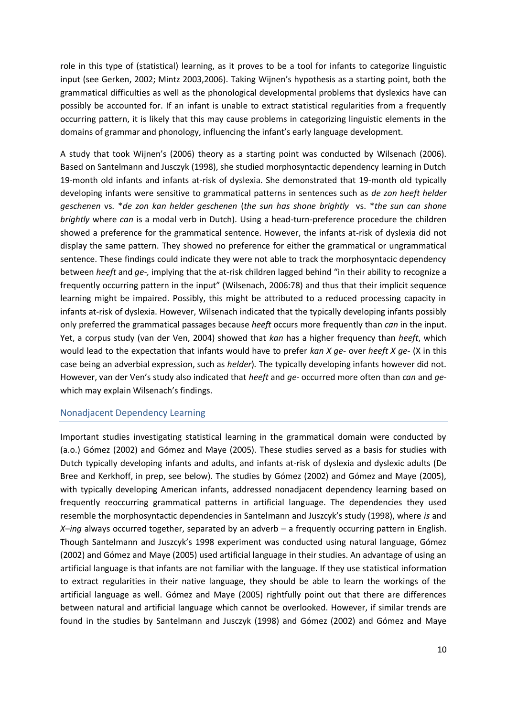role in this type of (statistical) learning, as it proves to be a tool for infants to categorize linguistic input (see Gerken, 2002; Mintz 2003,2006). Taking Wijnen's hypothesis as a starting point, both the grammatical difficulties as well as the phonological developmental problems that dyslexics have can possibly be accounted for. If an infant is unable to extract statistical regularities from a frequently occurring pattern, it is likely that this may cause problems in categorizing linguistic elements in the domains of grammar and phonology, influencing the infant's early language development.

A study that took Wijnen's (2006) theory as a starting point was conducted by Wilsenach (2006). Based on Santelmann and Jusczyk (1998), she studied morphosyntactic dependency learning in Dutch 19-month old infants and infants at-risk of dyslexia. She demonstrated that 19-month old typically developing infants were sensitive to grammatical patterns in sentences such as *de zon heeft helder geschenen* vs. \**de zon kan helder geschenen* (*the sun has shone brightly* vs. \**the sun can shone brightly* where *can* is a modal verb in Dutch). Using a head-turn-preference procedure the children showed a preference for the grammatical sentence. However, the infants at-risk of dyslexia did not display the same pattern. They showed no preference for either the grammatical or ungrammatical sentence. These findings could indicate they were not able to track the morphosyntacic dependency between *heeft* and *ge-,* implying that the at-risk children lagged behind "in their ability to recognize a frequently occurring pattern in the input" (Wilsenach, 2006:78) and thus that their implicit sequence learning might be impaired. Possibly, this might be attributed to a reduced processing capacity in infants at-risk of dyslexia. However, Wilsenach indicated that the typically developing infants possibly only preferred the grammatical passages because *heeft* occurs more frequently than *can* in the input. Yet, a corpus study (van der Ven, 2004) showed that *kan* has a higher frequency than *heeft*, which would lead to the expectation that infants would have to prefer *kan X ge-* over *heeft X ge-* (X in this case being an adverbial expression, such as *helder*)*.* The typically developing infants however did not. However, van der Ven's study also indicated that *heeft* and *ge-* occurred more often than *can* and *ge*which may explain Wilsenach's findings.

#### <span id="page-9-0"></span>Nonadjacent Dependency Learning

Important studies investigating statistical learning in the grammatical domain were conducted by (a.o.) Gómez (2002) and Gómez and Maye (2005). These studies served as a basis for studies with Dutch typically developing infants and adults, and infants at-risk of dyslexia and dyslexic adults (De Bree and Kerkhoff, in prep, see below). The studies by Gómez (2002) and Gómez and Maye (2005), with typically developing American infants, addressed nonadjacent dependency learning based on frequently reoccurring grammatical patterns in artificial language. The dependencies they used resemble the morphosyntactic dependencies in Santelmann and Juszcyk's study (1998), where *is* and *X*–*ing* always occurred together, separated by an adverb – a frequently occurring pattern in English. Though Santelmann and Juszcyk's 1998 experiment was conducted using natural language, Gómez (2002) and Gómez and Maye (2005) used artificial language in their studies. An advantage of using an artificial language is that infants are not familiar with the language. If they use statistical information to extract regularities in their native language, they should be able to learn the workings of the artificial language as well. Gómez and Maye (2005) rightfully point out that there are differences between natural and artificial language which cannot be overlooked. However, if similar trends are found in the studies by Santelmann and Jusczyk (1998) and Gómez (2002) and Gómez and Maye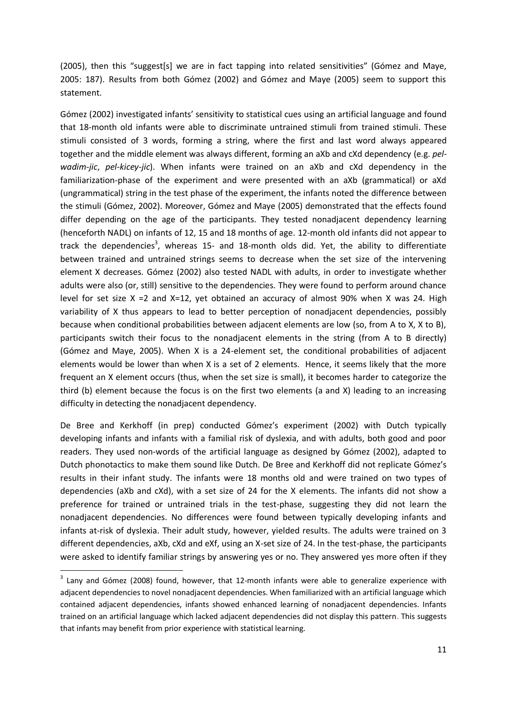$(2005)$ , then this "suggest $[s]$  we are in fact tapping into related sensitivities" (Gómez and Maye, 2005: 187). Results from both Gómez (2002) and Gómez and Maye (2005) seem to support this statement.

Gómez (2002) investigated infants' sensitivity to statistical cues using an artificial language and found that 18-month old infants were able to discriminate untrained stimuli from trained stimuli. These stimuli consisted of 3 words, forming a string, where the first and last word always appeared together and the middle element was always different, forming an aXb and cXd dependency (e.g. *pelwadim-jic*, *pel-kicey-jic*). When infants were trained on an aXb and cXd dependency in the familiarization-phase of the experiment and were presented with an aXb (grammatical) or aXd (ungrammatical) string in the test phase of the experiment, the infants noted the difference between the stimuli (Gómez, 2002). Moreover, Gómez and Maye (2005) demonstrated that the effects found differ depending on the age of the participants. They tested nonadjacent dependency learning (henceforth NADL) on infants of 12, 15 and 18 months of age. 12-month old infants did not appear to track the dependencies<sup>3</sup>, whereas 15- and 18-month olds did. Yet, the ability to differentiate between trained and untrained strings seems to decrease when the set size of the intervening element X decreases. Gómez (2002) also tested NADL with adults, in order to investigate whether adults were also (or, still) sensitive to the dependencies. They were found to perform around chance level for set size  $X = 2$  and  $X = 12$ , yet obtained an accuracy of almost 90% when X was 24. High variability of X thus appears to lead to better perception of nonadjacent dependencies, possibly because when conditional probabilities between adjacent elements are low (so, from A to X, X to B), participants switch their focus to the nonadjacent elements in the string (from A to B directly) (Gómez and Maye, 2005). When X is a 24-element set, the conditional probabilities of adjacent elements would be lower than when X is a set of 2 elements. Hence, it seems likely that the more frequent an X element occurs (thus, when the set size is small), it becomes harder to categorize the third (b) element because the focus is on the first two elements (a and X) leading to an increasing difficulty in detecting the nonadjacent dependency.

De Bree and Kerkhoff (in prep) conducted Gómez's experiment (2002) with Dutch typically developing infants and infants with a familial risk of dyslexia, and with adults, both good and poor readers. They used non-words of the artificial language as designed by Gómez (2002), adapted to Dutch phonotactics to make them sound like Dutch. De Bree and Kerkhoff did not replicate Gómez's results in their infant study. The infants were 18 months old and were trained on two types of dependencies (aXb and cXd), with a set size of 24 for the X elements. The infants did not show a preference for trained or untrained trials in the test-phase, suggesting they did not learn the nonadjacent dependencies. No differences were found between typically developing infants and infants at-risk of dyslexia. Their adult study, however, yielded results. The adults were trained on 3 different dependencies, aXb, cXd and eXf, using an X-set size of 24. In the test-phase, the participants were asked to identify familiar strings by answering yes or no. They answered yes more often if they

 $3$  Lany and Gómez (2008) found, however, that 12-month infants were able to generalize experience with adjacent dependencies to novel nonadjacent dependencies. When familiarized with an artificial language which contained adjacent dependencies, infants showed enhanced learning of nonadjacent dependencies. Infants trained on an artificial language which lacked adjacent dependencies did not display this pattern. This suggests that infants may benefit from prior experience with statistical learning.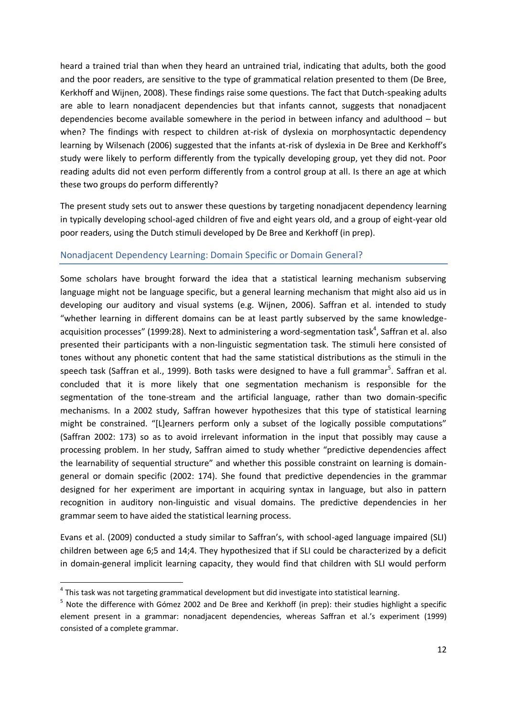heard a trained trial than when they heard an untrained trial, indicating that adults, both the good and the poor readers, are sensitive to the type of grammatical relation presented to them (De Bree, Kerkhoff and Wijnen, 2008). These findings raise some questions. The fact that Dutch-speaking adults are able to learn nonadjacent dependencies but that infants cannot, suggests that nonadjacent dependencies become available somewhere in the period in between infancy and adulthood – but when? The findings with respect to children at-risk of dyslexia on morphosyntactic dependency learning by Wilsenach (2006) suggested that the infants at-risk of dyslexia in De Bree and Kerkhoff's study were likely to perform differently from the typically developing group, yet they did not. Poor reading adults did not even perform differently from a control group at all. Is there an age at which these two groups do perform differently?

The present study sets out to answer these questions by targeting nonadjacent dependency learning in typically developing school-aged children of five and eight years old, and a group of eight-year old poor readers, using the Dutch stimuli developed by De Bree and Kerkhoff (in prep).

#### <span id="page-11-0"></span>Nonadjacent Dependency Learning: Domain Specific or Domain General?

Some scholars have brought forward the idea that a statistical learning mechanism subserving language might not be language specific, but a general learning mechanism that might also aid us in developing our auditory and visual systems (e.g. Wijnen, 2006). Saffran et al. intended to study "whether learning in different domains can be at least partly subserved by the same knowledgeacquisition processes" (1999:28). Next to administering a word-segmentation task<sup>4</sup>, Saffran et al. also presented their participants with a non-linguistic segmentation task. The stimuli here consisted of tones without any phonetic content that had the same statistical distributions as the stimuli in the speech task (Saffran et al., 1999). Both tasks were designed to have a full grammar<sup>5</sup>. Saffran et al. concluded that it is more likely that one segmentation mechanism is responsible for the segmentation of the tone-stream and the artificial language, rather than two domain-specific mechanisms. In a 2002 study, Saffran however hypothesizes that this type of statistical learning might be constrained. "[L]earners perform only a subset of the logically possible computations" (Saffran 2002: 173) so as to avoid irrelevant information in the input that possibly may cause a processing problem. In her study, Saffran aimed to study whether "predictive dependencies affect the learnability of sequential structure" and whether this possible constraint on learning is domaingeneral or domain specific (2002: 174). She found that predictive dependencies in the grammar designed for her experiment are important in acquiring syntax in language, but also in pattern recognition in auditory non-linguistic and visual domains. The predictive dependencies in her grammar seem to have aided the statistical learning process.

Evans et al. (2009) conducted a study similar to Saffran's, with school-aged language impaired (SLI) children between age 6;5 and 14;4. They hypothesized that if SLI could be characterized by a deficit in domain-general implicit learning capacity, they would find that children with SLI would perform

 4 This task was not targeting grammatical development but did investigate into statistical learning.

<sup>&</sup>lt;sup>5</sup> Note the difference with Gómez 2002 and De Bree and Kerkhoff (in prep): their studies highlight a specific element present in a grammar: nonadjacent dependencies, whereas Saffran et al.'s experiment (1999) consisted of a complete grammar.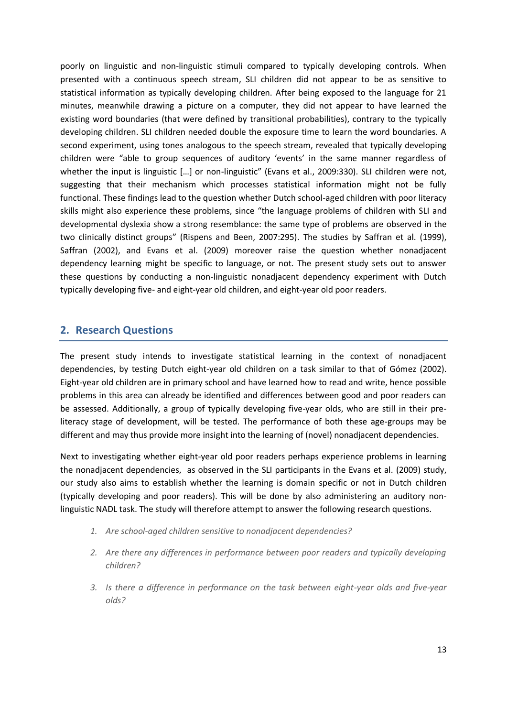poorly on linguistic and non-linguistic stimuli compared to typically developing controls. When presented with a continuous speech stream, SLI children did not appear to be as sensitive to statistical information as typically developing children. After being exposed to the language for 21 minutes, meanwhile drawing a picture on a computer, they did not appear to have learned the existing word boundaries (that were defined by transitional probabilities), contrary to the typically developing children. SLI children needed double the exposure time to learn the word boundaries. A second experiment, using tones analogous to the speech stream, revealed that typically developing children were "able to group sequences of auditory 'events' in the same manner regardless of whether the input is linguistic [...] or non-linguistic" (Evans et al., 2009:330). SLI children were not, suggesting that their mechanism which processes statistical information might not be fully functional. These findings lead to the question whether Dutch school-aged children with poor literacy skills might also experience these problems, since "the language problems of children with SLI and developmental dyslexia show a strong resemblance: the same type of problems are observed in the two clinically distinct groups" (Rispens and Been, 2007:295). The studies by Saffran et al. (1999), Saffran (2002), and Evans et al. (2009) moreover raise the question whether nonadjacent dependency learning might be specific to language, or not. The present study sets out to answer these questions by conducting a non-linguistic nonadjacent dependency experiment with Dutch typically developing five- and eight-year old children, and eight-year old poor readers.

## <span id="page-12-0"></span>**2. Research Questions**

The present study intends to investigate statistical learning in the context of nonadjacent dependencies, by testing Dutch eight-year old children on a task similar to that of Gómez (2002). Eight-year old children are in primary school and have learned how to read and write, hence possible problems in this area can already be identified and differences between good and poor readers can be assessed. Additionally, a group of typically developing five-year olds, who are still in their preliteracy stage of development, will be tested. The performance of both these age-groups may be different and may thus provide more insight into the learning of (novel) nonadjacent dependencies.

Next to investigating whether eight-year old poor readers perhaps experience problems in learning the nonadjacent dependencies, as observed in the SLI participants in the Evans et al. (2009) study, our study also aims to establish whether the learning is domain specific or not in Dutch children (typically developing and poor readers). This will be done by also administering an auditory nonlinguistic NADL task. The study will therefore attempt to answer the following research questions.

- *1. Are school-aged children sensitive to nonadjacent dependencies?*
- *2. Are there any differences in performance between poor readers and typically developing children?*
- *3. Is there a difference in performance on the task between eight-year olds and five-year olds?*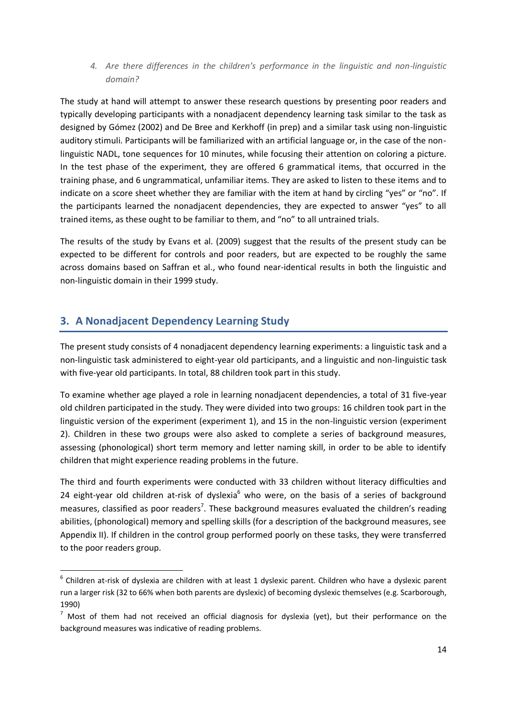*4. Are there differences in the children's performance in the linguistic and non-linguistic domain?*

The study at hand will attempt to answer these research questions by presenting poor readers and typically developing participants with a nonadjacent dependency learning task similar to the task as designed by Gómez (2002) and De Bree and Kerkhoff (in prep) and a similar task using non-linguistic auditory stimuli. Participants will be familiarized with an artificial language or, in the case of the nonlinguistic NADL, tone sequences for 10 minutes, while focusing their attention on coloring a picture. In the test phase of the experiment, they are offered 6 grammatical items, that occurred in the training phase, and 6 ungrammatical, unfamiliar items. They are asked to listen to these items and to indicate on a score sheet whether they are familiar with the item at hand by circling "yes" or "no". If the participants learned the nonadjacent dependencies, they are expected to answer "yes" to all trained items, as these ought to be familiar to them, and "no" to all untrained trials.

The results of the study by Evans et al. (2009) suggest that the results of the present study can be expected to be different for controls and poor readers, but are expected to be roughly the same across domains based on Saffran et al., who found near-identical results in both the linguistic and non-linguistic domain in their 1999 study.

## <span id="page-13-0"></span>**3. A Nonadjacent Dependency Learning Study**

1

The present study consists of 4 nonadjacent dependency learning experiments: a linguistic task and a non-linguistic task administered to eight-year old participants, and a linguistic and non-linguistic task with five-year old participants. In total, 88 children took part in this study.

To examine whether age played a role in learning nonadjacent dependencies, a total of 31 five-year old children participated in the study. They were divided into two groups: 16 children took part in the linguistic version of the experiment (experiment 1), and 15 in the non-linguistic version (experiment 2). Children in these two groups were also asked to complete a series of background measures, assessing (phonological) short term memory and letter naming skill, in order to be able to identify children that might experience reading problems in the future.

The third and fourth experiments were conducted with 33 children without literacy difficulties and 24 eight-year old children at-risk of dyslexia<sup>6</sup> who were, on the basis of a series of background measures, classified as poor readers<sup>7</sup>. These background measures evaluated the children's reading abilities, (phonological) memory and spelling skills (for a description of the background measures, see Appendix II). If children in the control group performed poorly on these tasks, they were transferred to the poor readers group.

 $^6$  Children at-risk of dyslexia are children with at least 1 dyslexic parent. Children who have a dyslexic parent run a larger risk (32 to 66% when both parents are dyslexic) of becoming dyslexic themselves (e.g. Scarborough, 1990)

 $<sup>7</sup>$  Most of them had not received an official diagnosis for dyslexia (yet), but their performance on the</sup> background measures was indicative of reading problems.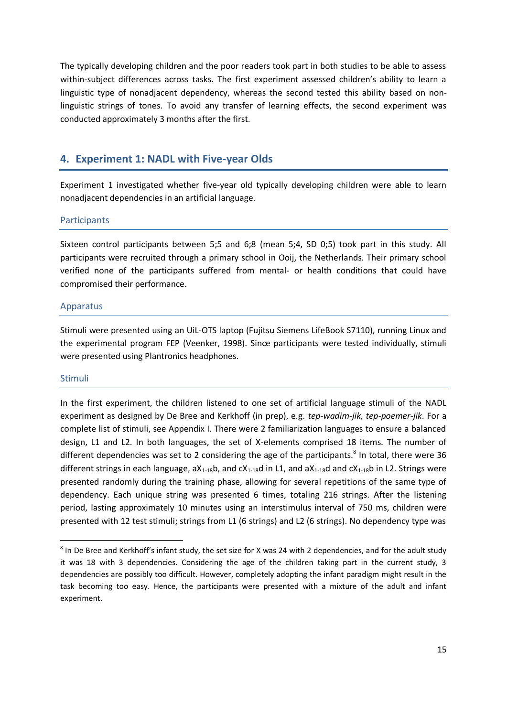The typically developing children and the poor readers took part in both studies to be able to assess within-subject differences across tasks. The first experiment assessed children's ability to learn a linguistic type of nonadjacent dependency, whereas the second tested this ability based on nonlinguistic strings of tones. To avoid any transfer of learning effects, the second experiment was conducted approximately 3 months after the first.

## <span id="page-14-0"></span>**4. Experiment 1: NADL with Five-year Olds**

Experiment 1 investigated whether five-year old typically developing children were able to learn nonadjacent dependencies in an artificial language.

#### <span id="page-14-1"></span>**Participants**

Sixteen control participants between 5;5 and 6;8 (mean 5;4, SD 0;5) took part in this study. All participants were recruited through a primary school in Ooij, the Netherlands. Their primary school verified none of the participants suffered from mental- or health conditions that could have compromised their performance.

#### <span id="page-14-2"></span>Apparatus

Stimuli were presented using an UiL-OTS laptop (Fujitsu Siemens LifeBook S7110), running Linux and the experimental program FEP (Veenker, 1998). Since participants were tested individually, stimuli were presented using Plantronics headphones.

#### <span id="page-14-3"></span>Stimuli

1

In the first experiment, the children listened to one set of artificial language stimuli of the NADL experiment as designed by De Bree and Kerkhoff (in prep), e.g. *tep-wadim-jik, tep-poemer-jik*. For a complete list of stimuli, see Appendix I. There were 2 familiarization languages to ensure a balanced design, L1 and L2. In both languages, the set of X-elements comprised 18 items. The number of different dependencies was set to 2 considering the age of the participants.<sup>8</sup> In total, there were 36 different strings in each language,  $aX_{1-18}b$ , and  $cX_{1-18}d$  in L1, and  $aX_{1-18}d$  and  $cX_{1-18}b$  in L2. Strings were presented randomly during the training phase, allowing for several repetitions of the same type of dependency. Each unique string was presented 6 times, totaling 216 strings. After the listening period, lasting approximately 10 minutes using an interstimulus interval of 750 ms, children were presented with 12 test stimuli; strings from L1 (6 strings) and L2 (6 strings). No dependency type was

 $8$  In De Bree and Kerkhoff's infant study, the set size for X was 24 with 2 dependencies, and for the adult study it was 18 with 3 dependencies. Considering the age of the children taking part in the current study, 3 dependencies are possibly too difficult. However, completely adopting the infant paradigm might result in the task becoming too easy. Hence, the participants were presented with a mixture of the adult and infant experiment.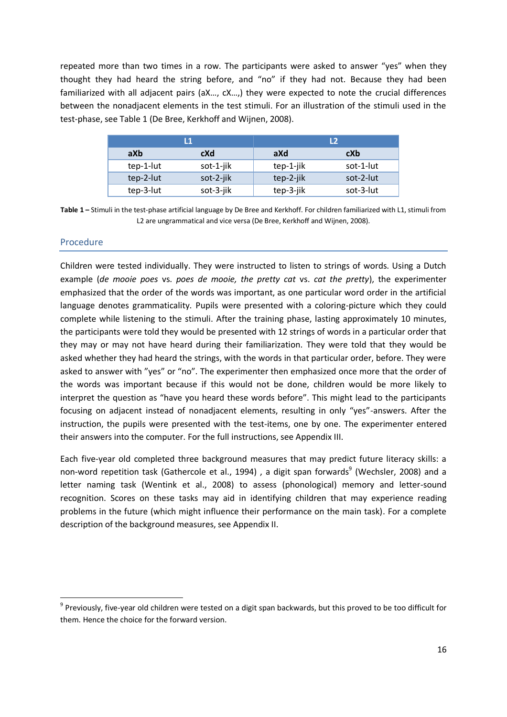repeated more than two times in a row. The participants were asked to answer "yes" when they thought they had heard the string before, and "no" if they had not. Because they had been familiarized with all adjacent pairs (aX..., cX...) they were expected to note the crucial differences between the nonadjacent elements in the test stimuli. For an illustration of the stimuli used in the test-phase, see Table 1 (De Bree, Kerkhoff and Wijnen, 2008).

|            |           | l 1       |           | L <sub>2</sub> |
|------------|-----------|-----------|-----------|----------------|
| aXb<br>cXd |           | aXd       | cXb       |                |
|            | tep-1-lut | sot-1-jik | tep-1-jik | sot-1-lut      |
|            | tep-2-lut | sot-2-jik | tep-2-jik | sot-2-lut      |
|            | tep-3-lut | sot-3-jik | tep-3-jik | sot-3-lut      |

**Table 1 –** Stimuli in the test-phase artificial language by De Bree and Kerkhoff. For children familiarized with L1, stimuli from L2 are ungrammatical and vice versa (De Bree, Kerkhoff and Wijnen, 2008).

#### <span id="page-15-0"></span>Procedure

1

Children were tested individually. They were instructed to listen to strings of words. Using a Dutch example (*de mooie poes* vs. *poes de mooie, the pretty cat* vs. *cat the pretty*), the experimenter emphasized that the order of the words was important, as one particular word order in the artificial language denotes grammaticality. Pupils were presented with a coloring-picture which they could complete while listening to the stimuli. After the training phase, lasting approximately 10 minutes, the participants were told they would be presented with 12 strings of words in a particular order that they may or may not have heard during their familiarization. They were told that they would be asked whether they had heard the strings, with the words in that particular order, before. They were asked to answer with "yes" or "no". The experimenter then emphasized once more that the order of the words was important because if this would not be done, children would be more likely to interpret the question as "have you heard these words before". This might lead to the participants focusing on adjacent instead of nonadjacent elements, resulting in only "yes"-answers. After the instruction, the pupils were presented with the test-items, one by one. The experimenter entered their answers into the computer. For the full instructions, see Appendix III.

Each five-year old completed three background measures that may predict future literacy skills: a non-word repetition task (Gathercole et al., 1994) , a digit span forwards<sup>9</sup> (Wechsler, 2008) and a letter naming task (Wentink et al., 2008) to assess (phonological) memory and letter-sound recognition. Scores on these tasks may aid in identifying children that may experience reading problems in the future (which might influence their performance on the main task). For a complete description of the background measures, see Appendix II.

<sup>&</sup>lt;sup>9</sup> Previously, five-year old children were tested on a digit span backwards, but this proved to be too difficult for them. Hence the choice for the forward version.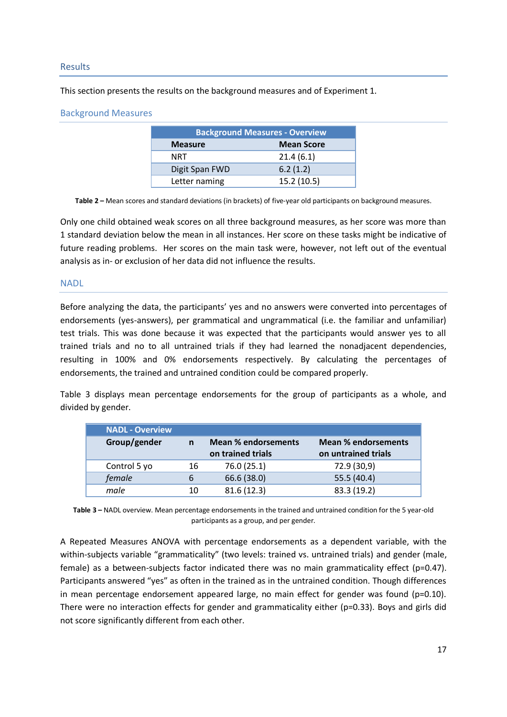#### <span id="page-16-0"></span>Results

This section presents the results on the background measures and of Experiment 1.

#### <span id="page-16-1"></span>Background Measures

| <b>Background Measures - Overview</b> |             |  |  |  |
|---------------------------------------|-------------|--|--|--|
| <b>Mean Score</b><br><b>Measure</b>   |             |  |  |  |
| NRT                                   | 21.4(6.1)   |  |  |  |
| Digit Span FWD                        | 6.2(1.2)    |  |  |  |
| Letter naming                         | 15.2 (10.5) |  |  |  |

**Table 2 –** Mean scores and standard deviations (in brackets) of five-year old participants on background measures.

Only one child obtained weak scores on all three background measures, as her score was more than 1 standard deviation below the mean in all instances. Her score on these tasks might be indicative of future reading problems. Her scores on the main task were, however, not left out of the eventual analysis as in- or exclusion of her data did not influence the results.

#### <span id="page-16-2"></span>**NADL**

Before analyzing the data, the participants' yes and no answers were converted into percentages of endorsements (yes-answers), per grammatical and ungrammatical (i.e. the familiar and unfamiliar) test trials. This was done because it was expected that the participants would answer yes to all trained trials and no to all untrained trials if they had learned the nonadjacent dependencies, resulting in 100% and 0% endorsements respectively. By calculating the percentages of endorsements, the trained and untrained condition could be compared properly.

Table 3 displays mean percentage endorsements for the group of participants as a whole, and divided by gender.

| <b>NADL - Overview</b> |    |                                                 |                                                   |
|------------------------|----|-------------------------------------------------|---------------------------------------------------|
| Group/gender           | n  | <b>Mean % endorsements</b><br>on trained trials | <b>Mean % endorsements</b><br>on untrained trials |
| Control 5 yo           | 16 | 76.0 (25.1)                                     | 72.9 (30,9)                                       |
| female                 | 6  | 66.6 (38.0)                                     | 55.5 (40.4)                                       |
| male                   | 10 | 81.6(12.3)                                      | 83.3 (19.2)                                       |

**Table 3 –** NADL overview. Mean percentage endorsements in the trained and untrained condition for the 5 year-old participants as a group, and per gender.

A Repeated Measures ANOVA with percentage endorsements as a dependent variable, with the within-subjects variable "grammaticality" (two levels: trained vs. untrained trials) and gender (male, female) as a between-subjects factor indicated there was no main grammaticality effect ( $p=0.47$ ). Participants answered "yes" as often in the trained as in the untrained condition. Though differences in mean percentage endorsement appeared large, no main effect for gender was found ( $p=0.10$ ). There were no interaction effects for gender and grammaticality either ( $p=0.33$ ). Boys and girls did not score significantly different from each other.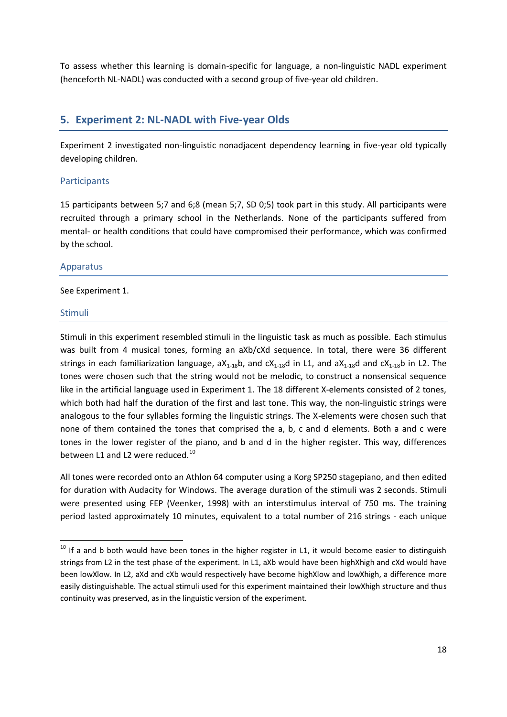To assess whether this learning is domain-specific for language, a non-linguistic NADL experiment (henceforth NL-NADL) was conducted with a second group of five-year old children.

## <span id="page-17-0"></span>**5. Experiment 2: NL-NADL with Five-year Olds**

Experiment 2 investigated non-linguistic nonadjacent dependency learning in five-year old typically developing children.

#### <span id="page-17-1"></span>**Participants**

15 participants between 5;7 and 6;8 (mean 5;7, SD 0;5) took part in this study. All participants were recruited through a primary school in the Netherlands. None of the participants suffered from mental- or health conditions that could have compromised their performance, which was confirmed by the school.

#### <span id="page-17-2"></span>Apparatus

#### See Experiment 1.

#### <span id="page-17-3"></span>Stimuli

1

Stimuli in this experiment resembled stimuli in the linguistic task as much as possible. Each stimulus was built from 4 musical tones, forming an aXb/cXd sequence. In total, there were 36 different strings in each familiarization language,  $aX_{1-18}b$ , and  $cX_{1-18}d$  in L1, and  $aX_{1-18}d$  and  $cX_{1-18}b$  in L2. The tones were chosen such that the string would not be melodic, to construct a nonsensical sequence like in the artificial language used in Experiment 1. The 18 different X-elements consisted of 2 tones, which both had half the duration of the first and last tone. This way, the non-linguistic strings were analogous to the four syllables forming the linguistic strings. The X-elements were chosen such that none of them contained the tones that comprised the a, b, c and d elements. Both a and c were tones in the lower register of the piano, and b and d in the higher register. This way, differences between L1 and L2 were reduced.<sup>10</sup>

All tones were recorded onto an Athlon 64 computer using a Korg SP250 stagepiano, and then edited for duration with Audacity for Windows. The average duration of the stimuli was 2 seconds. Stimuli were presented using FEP (Veenker, 1998) with an interstimulus interval of 750 ms. The training period lasted approximately 10 minutes, equivalent to a total number of 216 strings - each unique

 $10$  If a and b both would have been tones in the higher register in L1, it would become easier to distinguish strings from L2 in the test phase of the experiment. In L1, aXb would have been highXhigh and cXd would have been lowXlow. In L2, aXd and cXb would respectively have become highXlow and lowXhigh, a difference more easily distinguishable. The actual stimuli used for this experiment maintained their lowXhigh structure and thus continuity was preserved, as in the linguistic version of the experiment.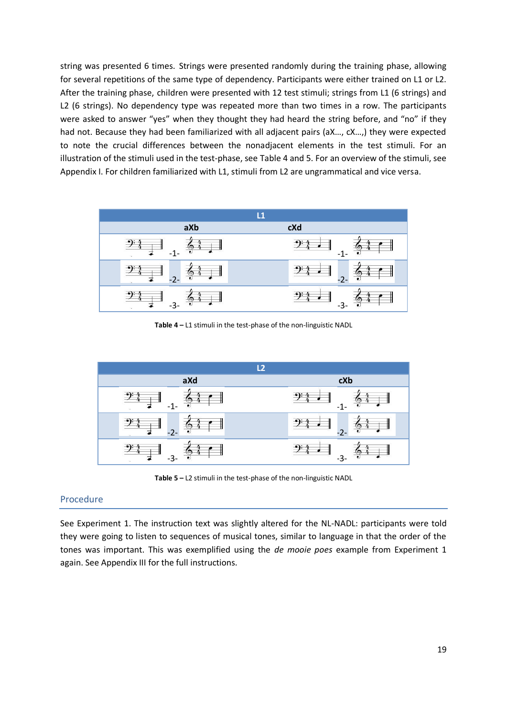string was presented 6 times. Strings were presented randomly during the training phase, allowing for several repetitions of the same type of dependency. Participants were either trained on L1 or L2. After the training phase, children were presented with 12 test stimuli; strings from L1 (6 strings) and L2 (6 strings). No dependency type was repeated more than two times in a row. The participants were asked to answer "yes" when they thought they had heard the string before, and "no" if they had not. Because they had been familiarized with all adjacent pairs (aX..., cX...,) they were expected to note the crucial differences between the nonadjacent elements in the test stimuli. For an illustration of the stimuli used in the test-phase, see Table 4 and 5. For an overview of the stimuli, see Appendix I. For children familiarized with L1, stimuli from L2 are ungrammatical and vice versa.



**Table 4 –** L1 stimuli in the test-phase of the non-linguistic NADL



**Table 5 –** L2 stimuli in the test-phase of the non-linguistic NADL

#### <span id="page-18-0"></span>Procedure

See Experiment 1. The instruction text was slightly altered for the NL-NADL: participants were told they were going to listen to sequences of musical tones, similar to language in that the order of the tones was important. This was exemplified using the *de mooie poes* example from Experiment 1 again. See Appendix III for the full instructions.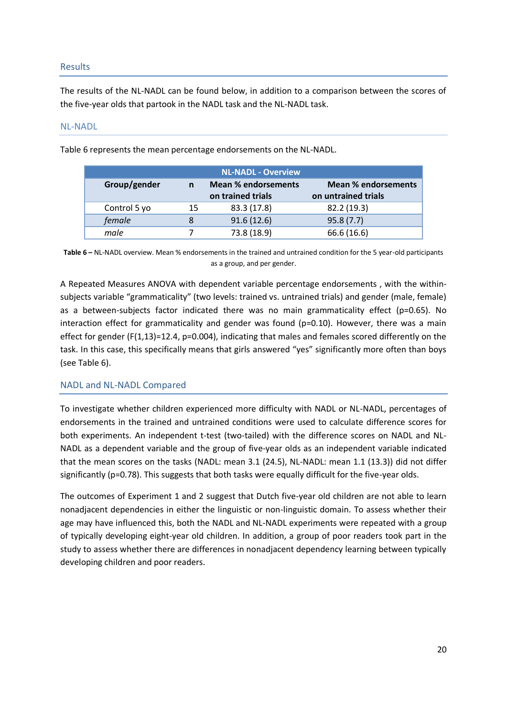#### <span id="page-19-0"></span>Results

The results of the NL-NADL can be found below, in addition to a comparison between the scores of the five-year olds that partook in the NADL task and the NL-NADL task.

#### <span id="page-19-1"></span>NL-NADL

Table 6 represents the mean percentage endorsements on the NL-NADL.

|              | <b>NL-NADL - Overview</b> |                            |                            |  |  |
|--------------|---------------------------|----------------------------|----------------------------|--|--|
| Group/gender | n                         | <b>Mean % endorsements</b> | <b>Mean % endorsements</b> |  |  |
|              | on trained trials         |                            | on untrained trials        |  |  |
| Control 5 yo | 15                        | 83.3 (17.8)                | 82.2 (19.3)                |  |  |
| female       |                           | 91.6(12.6)                 | 95.8(7.7)                  |  |  |
| male         |                           | 73.8 (18.9)                | 66.6 (16.6)                |  |  |

**Table 6 –** NL-NADL overview. Mean % endorsements in the trained and untrained condition for the 5 year-old participants as a group, and per gender.

A Repeated Measures ANOVA with dependent variable percentage endorsements , with the withinsubjects variable "grammaticality" (two levels: trained vs. untrained trials) and gender (male, female) as a between-subjects factor indicated there was no main grammaticality effect (p=0.65). No interaction effect for grammaticality and gender was found ( $p=0.10$ ). However, there was a main effect for gender ( $F(1,13)=12.4$ ,  $p=0.004$ ), indicating that males and females scored differently on the task. In this case, this specifically means that girls answered "yes" significantly more often than boys (see Table 6).

#### <span id="page-19-2"></span>NADL and NL-NADL Compared

To investigate whether children experienced more difficulty with NADL or NL-NADL, percentages of endorsements in the trained and untrained conditions were used to calculate difference scores for both experiments. An independent t-test (two-tailed) with the difference scores on NADL and NL-NADL as a dependent variable and the group of five-year olds as an independent variable indicated that the mean scores on the tasks (NADL: mean 3.1 (24.5), NL-NADL: mean 1.1 (13.3)) did not differ significantly (p=0.78). This suggests that both tasks were equally difficult for the five-year olds.

The outcomes of Experiment 1 and 2 suggest that Dutch five-year old children are not able to learn nonadjacent dependencies in either the linguistic or non-linguistic domain. To assess whether their age may have influenced this, both the NADL and NL-NADL experiments were repeated with a group of typically developing eight-year old children. In addition, a group of poor readers took part in the study to assess whether there are differences in nonadjacent dependency learning between typically developing children and poor readers.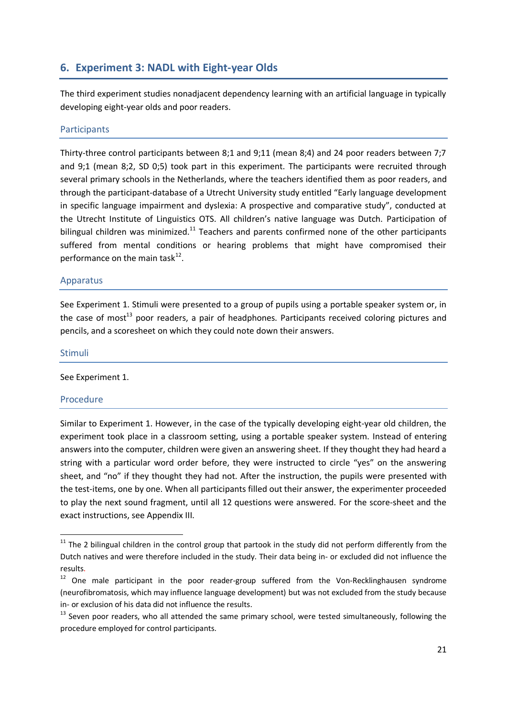## **6. Experiment 3: NADL with Eight-year Olds**

<span id="page-20-0"></span>The third experiment studies nonadjacent dependency learning with an artificial language in typically developing eight-year olds and poor readers.

#### <span id="page-20-1"></span>**Participants**

Thirty-three control participants between 8;1 and 9;11 (mean 8;4) and 24 poor readers between 7;7 and 9;1 (mean 8;2, SD 0;5) took part in this experiment. The participants were recruited through several primary schools in the Netherlands, where the teachers identified them as poor readers, and through the participant-database of a Utrecht University study entitled "Early language development in specific language impairment and dyslexia: A prospective and comparative study", conducted at the Utrecht Institute of Linguistics OTS. All children's native language was Dutch. Participation of bilingual children was minimized.<sup>11</sup> Teachers and parents confirmed none of the other participants suffered from mental conditions or hearing problems that might have compromised their performance on the main task $^{12}$ .

#### <span id="page-20-2"></span>Apparatus

See Experiment 1. Stimuli were presented to a group of pupils using a portable speaker system or, in the case of most<sup>13</sup> poor readers, a pair of headphones. Participants received coloring pictures and pencils, and a scoresheet on which they could note down their answers.

# <span id="page-20-3"></span>Stimuli

See Experiment 1.

#### <span id="page-20-4"></span>Procedure

1

Similar to Experiment 1. However, in the case of the typically developing eight-year old children, the experiment took place in a classroom setting, using a portable speaker system. Instead of entering answers into the computer, children were given an answering sheet. If they thought they had heard a string with a particular word order before, they were instructed to circle "yes" on the answering sheet, and "no" if they thought they had not. After the instruction, the pupils were presented with the test-items, one by one. When all participants filled out their answer, the experimenter proceeded to play the next sound fragment, until all 12 questions were answered. For the score-sheet and the exact instructions, see Appendix III.

 $11$  The 2 bilingual children in the control group that partook in the study did not perform differently from the Dutch natives and were therefore included in the study. Their data being in- or excluded did not influence the results.

 $12$  One male participant in the poor reader-group suffered from the Von-Recklinghausen syndrome (neurofibromatosis, which may influence language development) but was not excluded from the study because in- or exclusion of his data did not influence the results.

<sup>&</sup>lt;sup>13</sup> Seven poor readers, who all attended the same primary school, were tested simultaneously, following the procedure employed for control participants.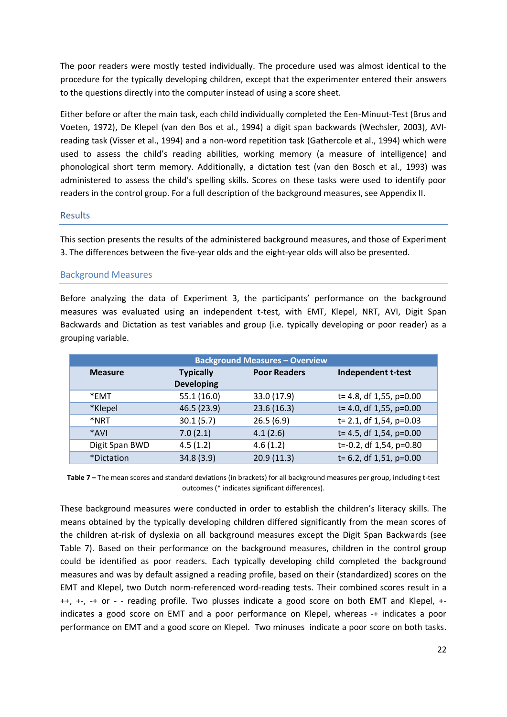The poor readers were mostly tested individually. The procedure used was almost identical to the procedure for the typically developing children, except that the experimenter entered their answers to the questions directly into the computer instead of using a score sheet.

Either before or after the main task, each child individually completed the Een-Minuut-Test (Brus and Voeten, 1972), De Klepel (van den Bos et al., 1994) a digit span backwards (Wechsler, 2003), AVIreading task (Visser et al., 1994) and a non-word repetition task (Gathercole et al., 1994) which were used to assess the child's reading abilities, working memory (a measure of intelligence) and phonological short term memory. Additionally, a dictation test (van den Bosch et al., 1993) was administered to assess the child's spelling skills. Scores on these tasks were used to identify poor readers in the control group. For a full description of the background measures, see Appendix II.

#### <span id="page-21-0"></span>**Results**

This section presents the results of the administered background measures, and those of Experiment 3. The differences between the five-year olds and the eight-year olds will also be presented.

#### <span id="page-21-1"></span>Background Measures

Before analyzing the data of Experiment 3, the participants' performance on the background measures was evaluated using an independent t-test, with EMT, Klepel, NRT, AVI, Digit Span Backwards and Dictation as test variables and group (i.e. typically developing or poor reader) as a grouping variable.

|                | <b>Background Measures - Overview</b> |                     |                             |
|----------------|---------------------------------------|---------------------|-----------------------------|
| <b>Measure</b> | <b>Typically</b>                      | <b>Poor Readers</b> | Independent t-test          |
|                | <b>Developing</b>                     |                     |                             |
| *EMT           | 55.1(16.0)                            | 33.0 (17.9)         | t= 4.8, df 1,55, p=0.00     |
| *Klepel        | 46.5 (23.9)                           | 23.6(16.3)          | t= 4.0, df 1,55, p=0.00     |
| *NRT           | 30.1(5.7)                             | 26.5(6.9)           | $t = 2.1$ , df 1,54, p=0.03 |
| *AVI           | 7.0(2.1)                              | 4.1(2.6)            | t= 4.5, df 1,54, p=0.00     |
| Digit Span BWD | 4.5(1.2)                              | 4.6(1.2)            | t=-0.2, df 1,54, p=0.80     |
| *Dictation     | 34.8(3.9)                             | 20.9(11.3)          | $t=6.2$ , df 1,51, p=0.00   |

**Table 7 –** The mean scores and standard deviations (in brackets) for all background measures per group, including t-test outcomes (\* indicates significant differences).

These background measures were conducted in order to establish the children's literacy skills. The means obtained by the typically developing children differed significantly from the mean scores of the children at-risk of dyslexia on all background measures except the Digit Span Backwards (see Table 7). Based on their performance on the background measures, children in the control group could be identified as poor readers. Each typically developing child completed the background measures and was by default assigned a reading profile, based on their (standardized) scores on the EMT and Klepel, two Dutch norm-referenced word-reading tests. Their combined scores result in a ++, +-, -+ or - - reading profile. Two plusses indicate a good score on both EMT and Klepel, + indicates a good score on EMT and a poor performance on Klepel, whereas -+ indicates a poor performance on EMT and a good score on Klepel. Two minuses indicate a poor score on both tasks.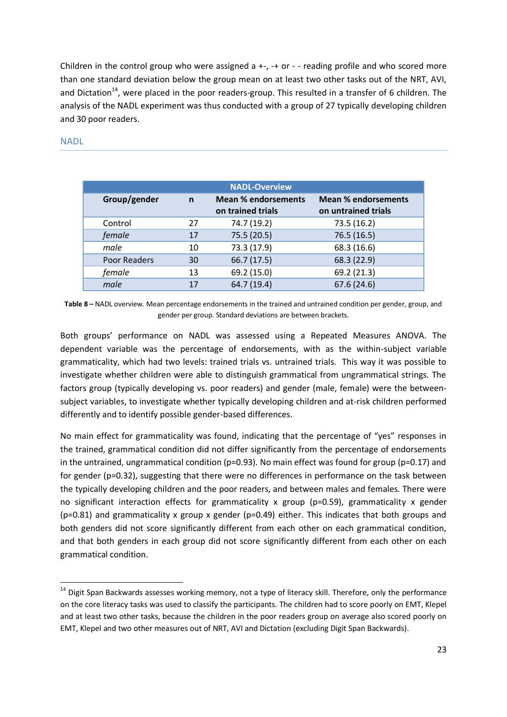Children in the control group who were assigned  $a + -$ ,  $a +$  or  $a -$  reading profile and who scored more than one standard deviation below the group mean on at least two other tasks out of the NRT, AVI, and Dictation<sup>14</sup>, were placed in the poor readers-group. This resulted in a transfer of 6 children. The analysis of the NADL experiment was thus conducted with a group of 27 typically developing children and 30 poor readers.

|                   | <b>NADL-Overview</b> |                            |                            |  |  |
|-------------------|----------------------|----------------------------|----------------------------|--|--|
| Group/gender<br>n |                      | <b>Mean % endorsements</b> | <b>Mean % endorsements</b> |  |  |
|                   |                      | on trained trials          | on untrained trials        |  |  |
| Control           | 27                   | 74.7 (19.2)                | 73.5 (16.2)                |  |  |
| female            | 17                   | 75.5 (20.5)                | 76.5(16.5)                 |  |  |
| male              | 10                   | 73.3 (17.9)                | 68.3 (16.6)                |  |  |
| Poor Readers      | 30                   | 66.7 (17.5)                | 68.3 (22.9)                |  |  |
| female            | 13                   | 69.2 (15.0)                | 69.2 (21.3)                |  |  |
| male              | 17                   | 64.7 (19.4)                | 67.6 (24.6)                |  |  |

#### <span id="page-22-0"></span>NADL

1

**Table 8 –** NADL overview. Mean percentage endorsements in the trained and untrained condition per gender, group, and gender per group. Standard deviations are between brackets.

Both groups' performance on NADL was assessed using a Repeated Measures ANOVA. The dependent variable was the percentage of endorsements, with as the within-subject variable grammaticality, which had two levels: trained trials vs. untrained trials. This way it was possible to investigate whether children were able to distinguish grammatical from ungrammatical strings. The factors group (typically developing vs. poor readers) and gender (male, female) were the betweensubject variables, to investigate whether typically developing children and at-risk children performed differently and to identify possible gender-based differences.

No main effect for grammaticality was found, indicating that the percentage of "yes" responses in the trained, grammatical condition did not differ significantly from the percentage of endorsements in the untrained, ungrammatical condition (p=0.93). No main effect was found for group (p=0.17) and for gender (p=0.32), suggesting that there were no differences in performance on the task between the typically developing children and the poor readers, and between males and females. There were no significant interaction effects for grammaticality x group (p=0.59), grammaticality x gender  $(p=0.81)$  and grammaticality x group x gender  $(p=0.49)$  either. This indicates that both groups and both genders did not score significantly different from each other on each grammatical condition, and that both genders in each group did not score significantly different from each other on each grammatical condition.

<sup>&</sup>lt;sup>14</sup> Digit Span Backwards assesses working memory, not a type of literacy skill. Therefore, only the performance on the core literacy tasks was used to classify the participants. The children had to score poorly on EMT, Klepel and at least two other tasks, because the children in the poor readers group on average also scored poorly on EMT, Klepel and two other measures out of NRT, AVI and Dictation (excluding Digit Span Backwards).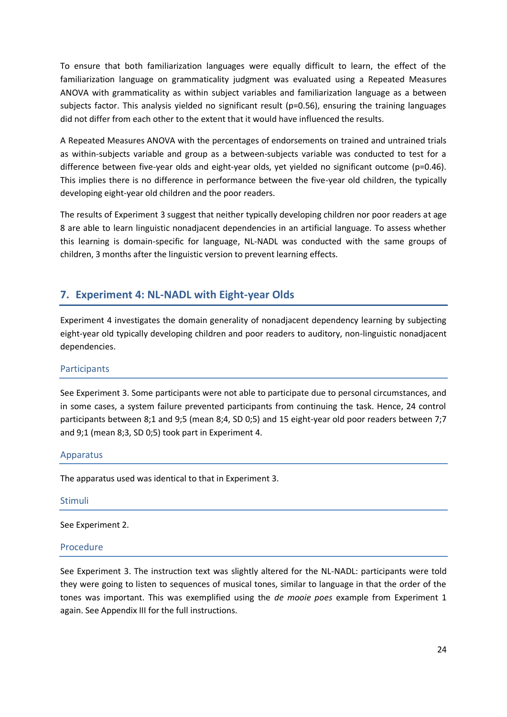To ensure that both familiarization languages were equally difficult to learn, the effect of the familiarization language on grammaticality judgment was evaluated using a Repeated Measures ANOVA with grammaticality as within subject variables and familiarization language as a between subjects factor. This analysis yielded no significant result (p=0.56), ensuring the training languages did not differ from each other to the extent that it would have influenced the results.

A Repeated Measures ANOVA with the percentages of endorsements on trained and untrained trials as within-subjects variable and group as a between-subjects variable was conducted to test for a difference between five-year olds and eight-year olds, yet yielded no significant outcome (p=0.46). This implies there is no difference in performance between the five-year old children, the typically developing eight-year old children and the poor readers.

The results of Experiment 3 suggest that neither typically developing children nor poor readers at age 8 are able to learn linguistic nonadjacent dependencies in an artificial language. To assess whether this learning is domain-specific for language, NL-NADL was conducted with the same groups of children, 3 months after the linguistic version to prevent learning effects.

## <span id="page-23-0"></span>**7. Experiment 4: NL-NADL with Eight-year Olds**

Experiment 4 investigates the domain generality of nonadjacent dependency learning by subjecting eight-year old typically developing children and poor readers to auditory, non-linguistic nonadjacent dependencies.

#### <span id="page-23-1"></span>**Participants**

See Experiment 3. Some participants were not able to participate due to personal circumstances, and in some cases, a system failure prevented participants from continuing the task. Hence, 24 control participants between 8;1 and 9;5 (mean 8;4, SD 0;5) and 15 eight-year old poor readers between 7;7 and 9;1 (mean 8;3, SD 0;5) took part in Experiment 4.

#### <span id="page-23-2"></span>Apparatus

The apparatus used was identical to that in Experiment 3.

#### <span id="page-23-3"></span>Stimuli

See Experiment 2.

#### <span id="page-23-4"></span>Procedure

See Experiment 3. The instruction text was slightly altered for the NL-NADL: participants were told they were going to listen to sequences of musical tones, similar to language in that the order of the tones was important. This was exemplified using the *de mooie poes* example from Experiment 1 again. See Appendix III for the full instructions.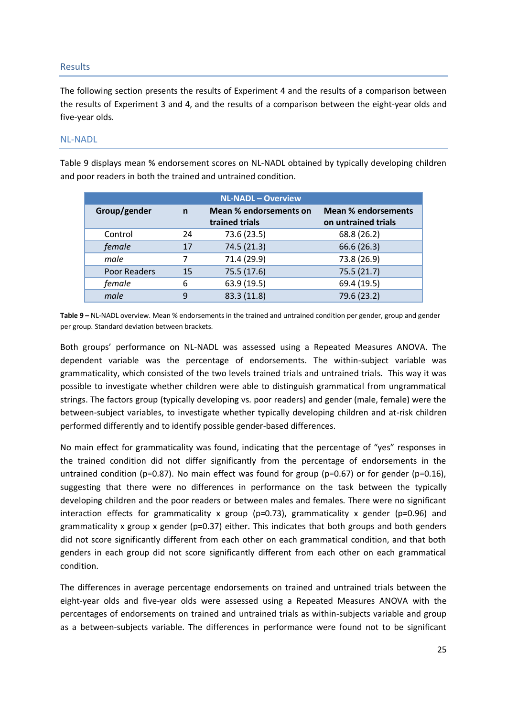#### <span id="page-24-0"></span>Results

The following section presents the results of Experiment 4 and the results of a comparison between the results of Experiment 3 and 4, and the results of a comparison between the eight-year olds and five-year olds.

#### <span id="page-24-1"></span>NL-NADL

Table 9 displays mean % endorsement scores on NL-NADL obtained by typically developing children and poor readers in both the trained and untrained condition.

| <b>NL-NADL - Overview</b>    |    |                        |                            |  |  |
|------------------------------|----|------------------------|----------------------------|--|--|
| Group/gender<br>$\mathsf{n}$ |    | Mean % endorsements on | <b>Mean % endorsements</b> |  |  |
|                              |    | trained trials         | on untrained trials        |  |  |
| Control                      | 24 | 73.6 (23.5)            | 68.8 (26.2)                |  |  |
| female                       | 17 | 74.5 (21.3)            | 66.6 (26.3)                |  |  |
| male                         |    | 71.4 (29.9)            | 73.8 (26.9)                |  |  |
| Poor Readers                 | 15 | 75.5 (17.6)            | 75.5(21.7)                 |  |  |
| female                       | 6  | 63.9 (19.5)            | 69.4 (19.5)                |  |  |
| male                         | 9  | 83.3 (11.8)            | 79.6 (23.2)                |  |  |

**Table 9 –** NL-NADL overview. Mean % endorsements in the trained and untrained condition per gender, group and gender per group. Standard deviation between brackets.

Both groups' performance on NL-NADL was assessed using a Repeated Measures ANOVA. The dependent variable was the percentage of endorsements. The within-subject variable was grammaticality, which consisted of the two levels trained trials and untrained trials. This way it was possible to investigate whether children were able to distinguish grammatical from ungrammatical strings. The factors group (typically developing vs. poor readers) and gender (male, female) were the between-subject variables, to investigate whether typically developing children and at-risk children performed differently and to identify possible gender-based differences.

No main effect for grammaticality was found, indicating that the percentage of "yes" responses in the trained condition did not differ significantly from the percentage of endorsements in the untrained condition (p=0.87). No main effect was found for group (p=0.67) or for gender (p=0.16), suggesting that there were no differences in performance on the task between the typically developing children and the poor readers or between males and females. There were no significant interaction effects for grammaticality x group ( $p=0.73$ ), grammaticality x gender ( $p=0.96$ ) and grammaticality x group x gender ( $p=0.37$ ) either. This indicates that both groups and both genders did not score significantly different from each other on each grammatical condition, and that both genders in each group did not score significantly different from each other on each grammatical condition.

The differences in average percentage endorsements on trained and untrained trials between the eight-year olds and five-year olds were assessed using a Repeated Measures ANOVA with the percentages of endorsements on trained and untrained trials as within-subjects variable and group as a between-subjects variable. The differences in performance were found not to be significant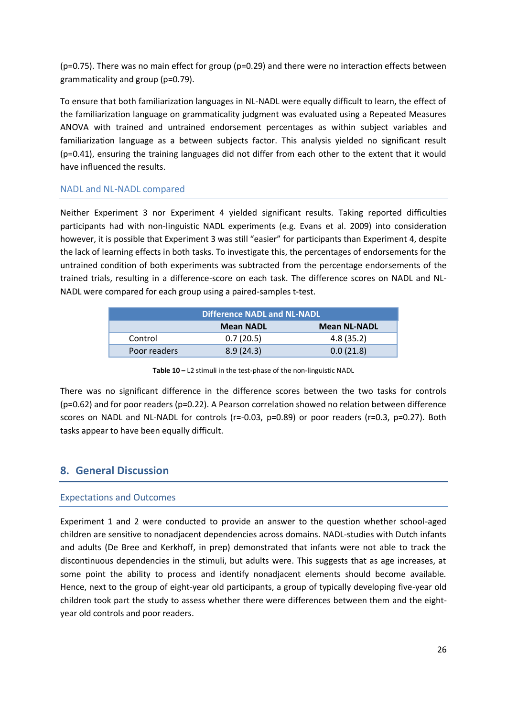(p=0.75). There was no main effect for group (p=0.29) and there were no interaction effects between grammaticality and group (p=0.79).

To ensure that both familiarization languages in NL-NADL were equally difficult to learn, the effect of the familiarization language on grammaticality judgment was evaluated using a Repeated Measures ANOVA with trained and untrained endorsement percentages as within subject variables and familiarization language as a between subjects factor. This analysis yielded no significant result (p=0.41), ensuring the training languages did not differ from each other to the extent that it would have influenced the results.

#### <span id="page-25-0"></span>NADL and NL-NADL compared

Neither Experiment 3 nor Experiment 4 yielded significant results. Taking reported difficulties participants had with non-linguistic NADL experiments (e.g. Evans et al. 2009) into consideration however, it is possible that Experiment 3 was still "easier" for participants than Experiment 4, despite the lack of learning effects in both tasks. To investigate this, the percentages of endorsements for the untrained condition of both experiments was subtracted from the percentage endorsements of the trained trials, resulting in a difference-score on each task. The difference scores on NADL and NL-NADL were compared for each group using a paired-samples t-test.

|              | <b>Difference NADL and NL-NADL</b> |                     |
|--------------|------------------------------------|---------------------|
|              | <b>Mean NADL</b>                   | <b>Mean NL-NADL</b> |
| Control      | 0.7(20.5)                          | 4.8(35.2)           |
| Poor readers | 8.9(24.3)                          | 0.0(21.8)           |

**Table 10 –** L2 stimuli in the test-phase of the non-linguistic NADL

There was no significant difference in the difference scores between the two tasks for controls (p=0.62) and for poor readers (p=0.22). A Pearson correlation showed no relation between difference scores on NADL and NL-NADL for controls (r=-0.03, p=0.89) or poor readers (r=0.3, p=0.27). Both tasks appear to have been equally difficult.

## <span id="page-25-1"></span>**8. General Discussion**

#### <span id="page-25-2"></span>Expectations and Outcomes

Experiment 1 and 2 were conducted to provide an answer to the question whether school-aged children are sensitive to nonadjacent dependencies across domains. NADL-studies with Dutch infants and adults (De Bree and Kerkhoff, in prep) demonstrated that infants were not able to track the discontinuous dependencies in the stimuli, but adults were. This suggests that as age increases, at some point the ability to process and identify nonadjacent elements should become available. Hence, next to the group of eight-year old participants, a group of typically developing five-year old children took part the study to assess whether there were differences between them and the eightyear old controls and poor readers.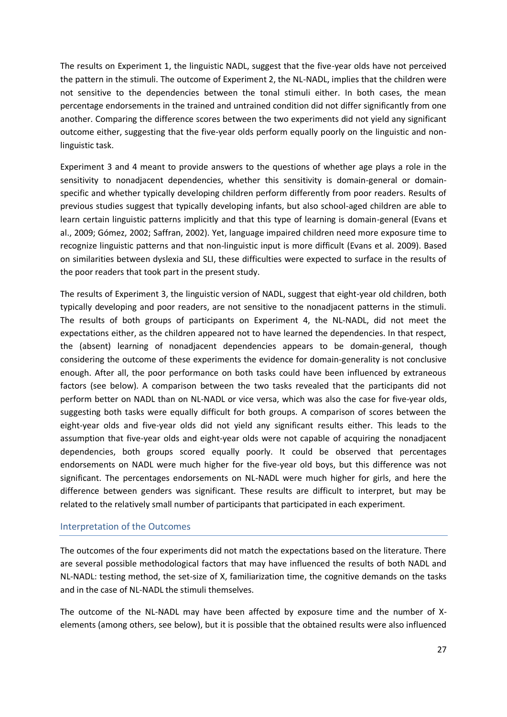The results on Experiment 1, the linguistic NADL, suggest that the five-year olds have not perceived the pattern in the stimuli. The outcome of Experiment 2, the NL-NADL, implies that the children were not sensitive to the dependencies between the tonal stimuli either. In both cases, the mean percentage endorsements in the trained and untrained condition did not differ significantly from one another. Comparing the difference scores between the two experiments did not yield any significant outcome either, suggesting that the five-year olds perform equally poorly on the linguistic and nonlinguistic task.

Experiment 3 and 4 meant to provide answers to the questions of whether age plays a role in the sensitivity to nonadjacent dependencies, whether this sensitivity is domain-general or domainspecific and whether typically developing children perform differently from poor readers. Results of previous studies suggest that typically developing infants, but also school-aged children are able to learn certain linguistic patterns implicitly and that this type of learning is domain-general (Evans et al., 2009; Gómez, 2002; Saffran, 2002). Yet, language impaired children need more exposure time to recognize linguistic patterns and that non-linguistic input is more difficult (Evans et al. 2009). Based on similarities between dyslexia and SLI, these difficulties were expected to surface in the results of the poor readers that took part in the present study.

The results of Experiment 3, the linguistic version of NADL, suggest that eight-year old children, both typically developing and poor readers, are not sensitive to the nonadjacent patterns in the stimuli. The results of both groups of participants on Experiment 4, the NL-NADL, did not meet the expectations either, as the children appeared not to have learned the dependencies. In that respect, the (absent) learning of nonadjacent dependencies appears to be domain-general, though considering the outcome of these experiments the evidence for domain-generality is not conclusive enough. After all, the poor performance on both tasks could have been influenced by extraneous factors (see below). A comparison between the two tasks revealed that the participants did not perform better on NADL than on NL-NADL or vice versa, which was also the case for five-year olds, suggesting both tasks were equally difficult for both groups. A comparison of scores between the eight-year olds and five-year olds did not yield any significant results either. This leads to the assumption that five-year olds and eight-year olds were not capable of acquiring the nonadjacent dependencies, both groups scored equally poorly. It could be observed that percentages endorsements on NADL were much higher for the five-year old boys, but this difference was not significant. The percentages endorsements on NL-NADL were much higher for girls, and here the difference between genders was significant. These results are difficult to interpret, but may be related to the relatively small number of participants that participated in each experiment.

#### <span id="page-26-0"></span>Interpretation of the Outcomes

The outcomes of the four experiments did not match the expectations based on the literature. There are several possible methodological factors that may have influenced the results of both NADL and NL-NADL: testing method, the set-size of X, familiarization time, the cognitive demands on the tasks and in the case of NL-NADL the stimuli themselves.

The outcome of the NL-NADL may have been affected by exposure time and the number of Xelements (among others, see below), but it is possible that the obtained results were also influenced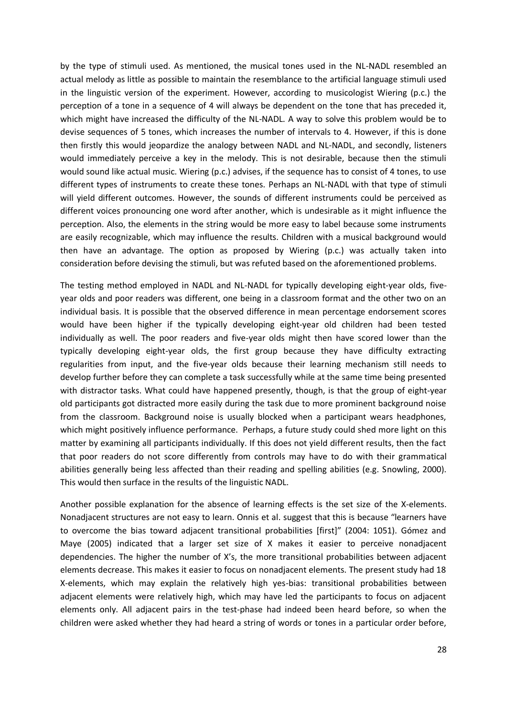by the type of stimuli used. As mentioned, the musical tones used in the NL-NADL resembled an actual melody as little as possible to maintain the resemblance to the artificial language stimuli used in the linguistic version of the experiment. However, according to musicologist Wiering (p.c.) the perception of a tone in a sequence of 4 will always be dependent on the tone that has preceded it, which might have increased the difficulty of the NL-NADL. A way to solve this problem would be to devise sequences of 5 tones, which increases the number of intervals to 4. However, if this is done then firstly this would jeopardize the analogy between NADL and NL-NADL, and secondly, listeners would immediately perceive a key in the melody. This is not desirable, because then the stimuli would sound like actual music. Wiering (p.c.) advises, if the sequence has to consist of 4 tones, to use different types of instruments to create these tones. Perhaps an NL-NADL with that type of stimuli will yield different outcomes. However, the sounds of different instruments could be perceived as different voices pronouncing one word after another, which is undesirable as it might influence the perception. Also, the elements in the string would be more easy to label because some instruments are easily recognizable, which may influence the results. Children with a musical background would then have an advantage. The option as proposed by Wiering (p.c.) was actually taken into consideration before devising the stimuli, but was refuted based on the aforementioned problems.

The testing method employed in NADL and NL-NADL for typically developing eight-year olds, fiveyear olds and poor readers was different, one being in a classroom format and the other two on an individual basis. It is possible that the observed difference in mean percentage endorsement scores would have been higher if the typically developing eight-year old children had been tested individually as well. The poor readers and five-year olds might then have scored lower than the typically developing eight-year olds, the first group because they have difficulty extracting regularities from input, and the five-year olds because their learning mechanism still needs to develop further before they can complete a task successfully while at the same time being presented with distractor tasks. What could have happened presently, though, is that the group of eight-year old participants got distracted more easily during the task due to more prominent background noise from the classroom. Background noise is usually blocked when a participant wears headphones, which might positively influence performance. Perhaps, a future study could shed more light on this matter by examining all participants individually. If this does not yield different results, then the fact that poor readers do not score differently from controls may have to do with their grammatical abilities generally being less affected than their reading and spelling abilities (e.g. Snowling, 2000). This would then surface in the results of the linguistic NADL.

Another possible explanation for the absence of learning effects is the set size of the X-elements. Nonadjacent structures are not easy to learn. Onnis et al. suggest that this is because "learners have to overcome the bias toward adjacent transitional probabilities [first]" (2004: 1051). Gómez and Maye (2005) indicated that a larger set size of X makes it easier to perceive nonadjacent dependencies. The higher the number of X's, the more transitional probabilities between adjacent elements decrease. This makes it easier to focus on nonadjacent elements. The present study had 18 X-elements, which may explain the relatively high yes-bias: transitional probabilities between adjacent elements were relatively high, which may have led the participants to focus on adjacent elements only. All adjacent pairs in the test-phase had indeed been heard before, so when the children were asked whether they had heard a string of words or tones in a particular order before,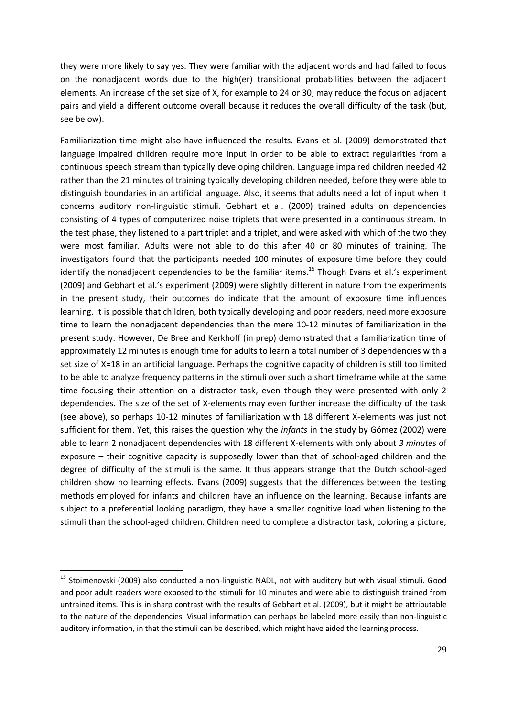they were more likely to say yes. They were familiar with the adjacent words and had failed to focus on the nonadjacent words due to the high(er) transitional probabilities between the adjacent elements. An increase of the set size of X, for example to 24 or 30, may reduce the focus on adjacent pairs and yield a different outcome overall because it reduces the overall difficulty of the task (but, see below).

Familiarization time might also have influenced the results. Evans et al. (2009) demonstrated that language impaired children require more input in order to be able to extract regularities from a continuous speech stream than typically developing children. Language impaired children needed 42 rather than the 21 minutes of training typically developing children needed, before they were able to distinguish boundaries in an artificial language. Also, it seems that adults need a lot of input when it concerns auditory non-linguistic stimuli. Gebhart et al. (2009) trained adults on dependencies consisting of 4 types of computerized noise triplets that were presented in a continuous stream. In the test phase, they listened to a part triplet and a triplet, and were asked with which of the two they were most familiar. Adults were not able to do this after 40 or 80 minutes of training. The investigators found that the participants needed 100 minutes of exposure time before they could identify the nonadjacent dependencies to be the familiar items.<sup>15</sup> Though Evans et al.'s experiment (2009) and Gebhart et al.'s experiment (2009) were slightly different in nature from the experiments in the present study, their outcomes do indicate that the amount of exposure time influences learning. It is possible that children, both typically developing and poor readers, need more exposure time to learn the nonadjacent dependencies than the mere 10-12 minutes of familiarization in the present study. However, De Bree and Kerkhoff (in prep) demonstrated that a familiarization time of approximately 12 minutes is enough time for adults to learn a total number of 3 dependencies with a set size of X=18 in an artificial language. Perhaps the cognitive capacity of children is still too limited to be able to analyze frequency patterns in the stimuli over such a short timeframe while at the same time focusing their attention on a distractor task, even though they were presented with only 2 dependencies. The size of the set of X-elements may even further increase the difficulty of the task (see above), so perhaps 10-12 minutes of familiarization with 18 different X-elements was just not sufficient for them. Yet, this raises the question why the *infants* in the study by Gómez (2002) were able to learn 2 nonadjacent dependencies with 18 different X-elements with only about *3 minutes* of exposure – their cognitive capacity is supposedly lower than that of school-aged children and the degree of difficulty of the stimuli is the same. It thus appears strange that the Dutch school-aged children show no learning effects. Evans (2009) suggests that the differences between the testing methods employed for infants and children have an influence on the learning. Because infants are subject to a preferential looking paradigm, they have a smaller cognitive load when listening to the stimuli than the school-aged children. Children need to complete a distractor task, coloring a picture,

<sup>&</sup>lt;sup>15</sup> Stoimenovski (2009) also conducted a non-linguistic NADL, not with auditory but with visual stimuli. Good and poor adult readers were exposed to the stimuli for 10 minutes and were able to distinguish trained from untrained items. This is in sharp contrast with the results of Gebhart et al. (2009), but it might be attributable to the nature of the dependencies. Visual information can perhaps be labeled more easily than non-linguistic auditory information, in that the stimuli can be described, which might have aided the learning process.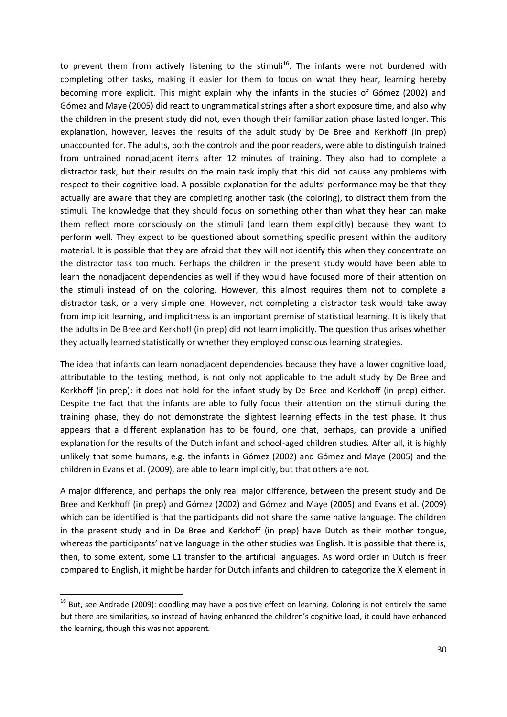to prevent them from actively listening to the stimuli<sup>16</sup>. The infants were not burdened with completing other tasks, making it easier for them to focus on what they hear, learning hereby becoming more explicit. This might explain why the infants in the studies of Gómez (2002) and Gómez and Maye (2005) did react to ungrammatical strings after a short exposure time, and also why the children in the present study did not, even though their familiarization phase lasted longer. This explanation, however, leaves the results of the adult study by De Bree and Kerkhoff (in prep) unaccounted for. The adults, both the controls and the poor readers, were able to distinguish trained from untrained nonadjacent items after 12 minutes of training. They also had to complete a distractor task, but their results on the main task imply that this did not cause any problems with respect to their cognitive load. A possible explanation for the adults' performance may be that they actually are aware that they are completing another task (the coloring), to distract them from the stimuli. The knowledge that they should focus on something other than what they hear can make them reflect more consciously on the stimuli (and learn them explicitly) because they want to perform well. They expect to be questioned about something specific present within the auditory material. It is possible that they are afraid that they will not identify this when they concentrate on the distractor task too much. Perhaps the children in the present study would have been able to learn the nonadjacent dependencies as well if they would have focused more of their attention on the stimuli instead of on the coloring. However, this almost requires them not to complete a distractor task, or a very simple one. However, not completing a distractor task would take away from implicit learning, and implicitness is an important premise of statistical learning. It is likely that the adults in De Bree and Kerkhoff (in prep) did not learn implicitly. The question thus arises whether they actually learned statistically or whether they employed conscious learning strategies.

The idea that infants can learn nonadjacent dependencies because they have a lower cognitive load, attributable to the testing method, is not only not applicable to the adult study by De Bree and Kerkhoff (in prep): it does not hold for the infant study by De Bree and Kerkhoff (in prep) either. Despite the fact that the infants are able to fully focus their attention on the stimuli during the training phase, they do not demonstrate the slightest learning effects in the test phase. It thus appears that a different explanation has to be found, one that, perhaps, can provide a unified explanation for the results of the Dutch infant and school-aged children studies. After all, it is highly unlikely that some humans, e.g. the infants in Gómez (2002) and Gómez and Maye (2005) and the children in Evans et al. (2009), are able to learn implicitly, but that others are not.

A major difference, and perhaps the only real major difference, between the present study and De Bree and Kerkhoff (in prep) and Gómez (2002) and Gómez and Maye (2005) and Evans et al. (2009) which can be identified is that the participants did not share the same native language. The children in the present study and in De Bree and Kerkhoff (in prep) have Dutch as their mother tongue, whereas the participants' native language in the other studies was English. It is possible that there is, then, to some extent, some L1 transfer to the artificial languages. As word order in Dutch is freer compared to English, it might be harder for Dutch infants and children to categorize the X element in

 $^{16}$  But, see Andrade (2009): doodling may have a positive effect on learning. Coloring is not entirely the same but there are similarities, so instead of having enhanced the children's cognitive load, it could have enhanced the learning, though this was not apparent.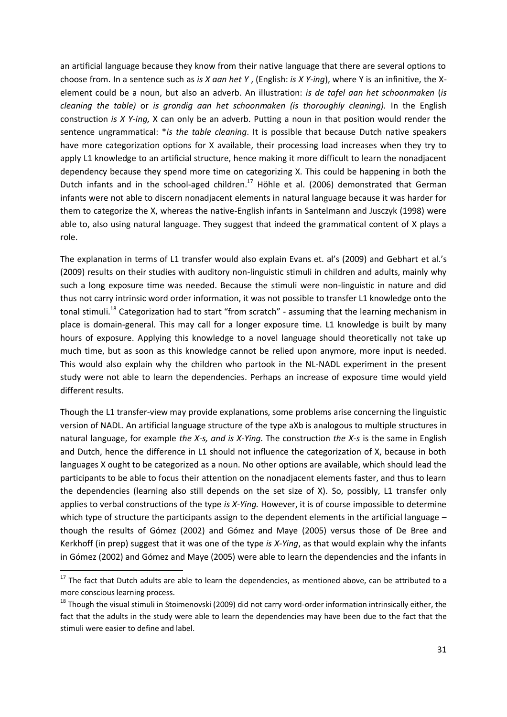an artificial language because they know from their native language that there are several options to choose from. In a sentence such as *is X aan het Y* , (English: *is X Y-ing*), where Y is an infinitive, the Xelement could be a noun, but also an adverb. An illustration: *is de tafel aan het schoonmaken* (*is cleaning the table)* or *is grondig aan het schoonmaken (is thoroughly cleaning).* In the English construction *is X Y-ing,* X can only be an adverb. Putting a noun in that position would render the sentence ungrammatical: \**is the table cleaning*. It is possible that because Dutch native speakers have more categorization options for X available, their processing load increases when they try to apply L1 knowledge to an artificial structure, hence making it more difficult to learn the nonadjacent dependency because they spend more time on categorizing X. This could be happening in both the Dutch infants and in the school-aged children.<sup>17</sup> Höhle et al. (2006) demonstrated that German infants were not able to discern nonadjacent elements in natural language because it was harder for them to categorize the X, whereas the native-English infants in Santelmann and Jusczyk (1998) were able to, also using natural language. They suggest that indeed the grammatical content of X plays a role.

The explanation in terms of L1 transfer would also explain Evans et. al's (2009) and Gebhart et al.'s (2009) results on their studies with auditory non-linguistic stimuli in children and adults, mainly why such a long exposure time was needed. Because the stimuli were non-linguistic in nature and did thus not carry intrinsic word order information, it was not possible to transfer L1 knowledge onto the tonal stimuli.<sup>18</sup> Categorization had to start "from scratch" - assuming that the learning mechanism in place is domain-general. This may call for a longer exposure time. L1 knowledge is built by many hours of exposure. Applying this knowledge to a novel language should theoretically not take up much time, but as soon as this knowledge cannot be relied upon anymore, more input is needed. This would also explain why the children who partook in the NL-NADL experiment in the present study were not able to learn the dependencies. Perhaps an increase of exposure time would yield different results.

Though the L1 transfer-view may provide explanations, some problems arise concerning the linguistic version of NADL. An artificial language structure of the type aXb is analogous to multiple structures in natural language, for example *the X-s, and is X-Ying.* The construction *the X-s* is the same in English and Dutch, hence the difference in L1 should not influence the categorization of X, because in both languages X ought to be categorized as a noun. No other options are available, which should lead the participants to be able to focus their attention on the nonadjacent elements faster, and thus to learn the dependencies (learning also still depends on the set size of X). So, possibly, L1 transfer only applies to verbal constructions of the type *is X-Ying.* However, it is of course impossible to determine which type of structure the participants assign to the dependent elements in the artificial language – though the results of Gómez (2002) and Gómez and Maye (2005) versus those of De Bree and Kerkhoff (in prep) suggest that it was one of the type *is X-Ying*, as that would explain why the infants in Gómez (2002) and Gómez and Maye (2005) were able to learn the dependencies and the infants in

 $17$  The fact that Dutch adults are able to learn the dependencies, as mentioned above, can be attributed to a more conscious learning process.

<sup>&</sup>lt;sup>18</sup> Though the visual stimuli in Stoimenovski (2009) did not carry word-order information intrinsically either, the fact that the adults in the study were able to learn the dependencies may have been due to the fact that the stimuli were easier to define and label.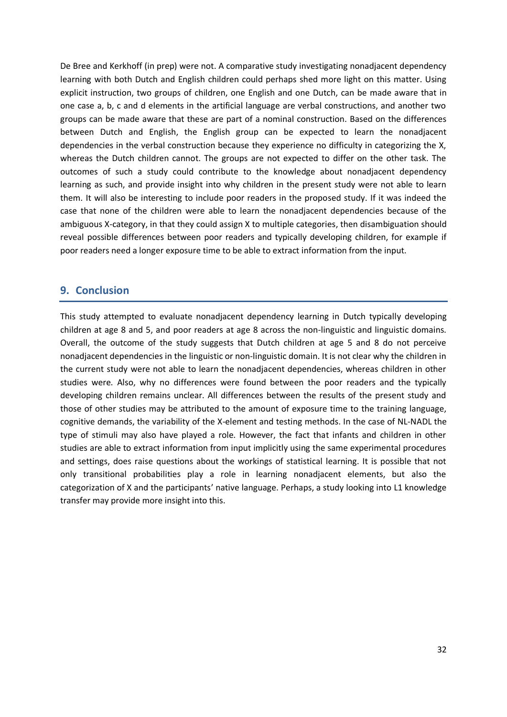De Bree and Kerkhoff (in prep) were not. A comparative study investigating nonadjacent dependency learning with both Dutch and English children could perhaps shed more light on this matter. Using explicit instruction, two groups of children, one English and one Dutch, can be made aware that in one case a, b, c and d elements in the artificial language are verbal constructions, and another two groups can be made aware that these are part of a nominal construction. Based on the differences between Dutch and English, the English group can be expected to learn the nonadjacent dependencies in the verbal construction because they experience no difficulty in categorizing the X, whereas the Dutch children cannot. The groups are not expected to differ on the other task. The outcomes of such a study could contribute to the knowledge about nonadjacent dependency learning as such, and provide insight into why children in the present study were not able to learn them. It will also be interesting to include poor readers in the proposed study. If it was indeed the case that none of the children were able to learn the nonadjacent dependencies because of the ambiguous X-category, in that they could assign X to multiple categories, then disambiguation should reveal possible differences between poor readers and typically developing children, for example if poor readers need a longer exposure time to be able to extract information from the input.

## <span id="page-31-0"></span>**9. Conclusion**

This study attempted to evaluate nonadjacent dependency learning in Dutch typically developing children at age 8 and 5, and poor readers at age 8 across the non-linguistic and linguistic domains. Overall, the outcome of the study suggests that Dutch children at age 5 and 8 do not perceive nonadjacent dependencies in the linguistic or non-linguistic domain. It is not clear why the children in the current study were not able to learn the nonadjacent dependencies, whereas children in other studies were. Also, why no differences were found between the poor readers and the typically developing children remains unclear. All differences between the results of the present study and those of other studies may be attributed to the amount of exposure time to the training language, cognitive demands, the variability of the X-element and testing methods. In the case of NL-NADL the type of stimuli may also have played a role. However, the fact that infants and children in other studies are able to extract information from input implicitly using the same experimental procedures and settings, does raise questions about the workings of statistical learning. It is possible that not only transitional probabilities play a role in learning nonadjacent elements, but also the categorization of X and the participants' native language. Perhaps, a study looking into L1 knowledge transfer may provide more insight into this.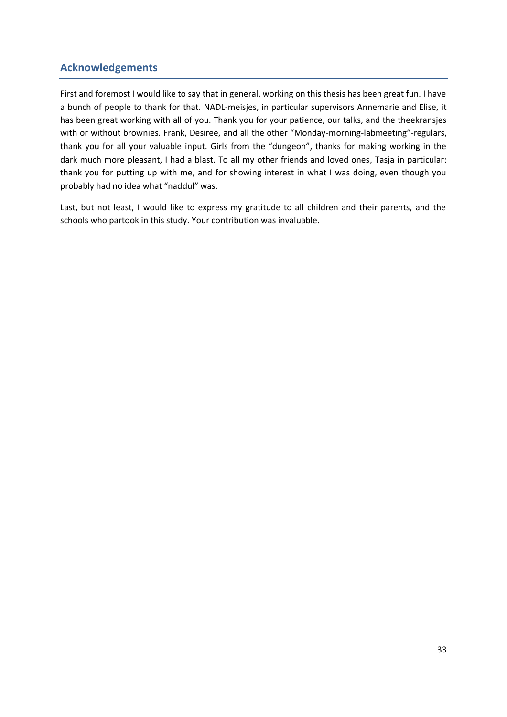## **Acknowledgements**

<span id="page-32-0"></span>First and foremost I would like to say that in general, working on this thesis has been great fun. I have a bunch of people to thank for that. NADL-meisjes, in particular supervisors Annemarie and Elise, it has been great working with all of you. Thank you for your patience, our talks, and the theekransjes with or without brownies. Frank, Desiree, and all the other "Monday-morning-labmeeting"-regulars, thank you for all your valuable input. Girls from the "dungeon", thanks for making working in the dark much more pleasant, I had a blast. To all my other friends and loved ones, Tasja in particular: thank you for putting up with me, and for showing interest in what I was doing, even though you probably had no idea what "naddul" was.

Last, but not least, I would like to express my gratitude to all children and their parents, and the schools who partook in this study. Your contribution was invaluable.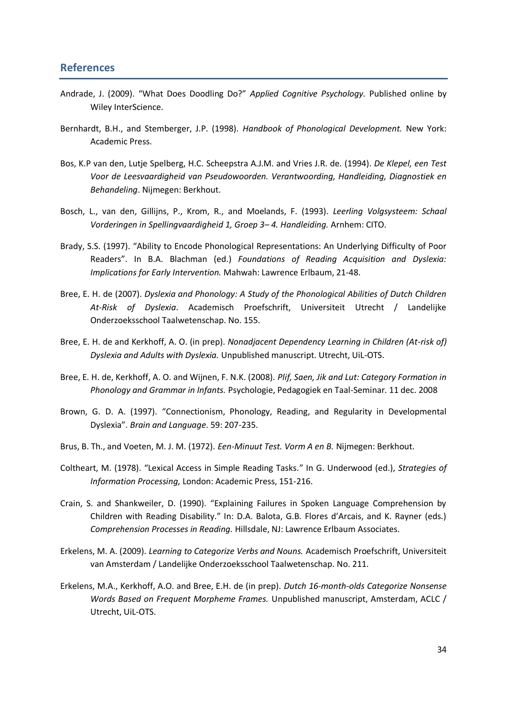## **References**

- <span id="page-33-0"></span>Andrade, J. (2009). "What Does Doodling Do?" *Applied Cognitive Psychology.* Published online by Wiley InterScience.
- Bernhardt, B.H., and Stemberger, J.P. (1998). *Handbook of Phonological Development.* New York: Academic Press.
- Bos, K.P van den, Lutje Spelberg, H.C. Scheepstra A.J.M. and Vries J.R. de. (1994). *De Klepel, een Test Voor de Leesvaardigheid van Pseudowoorden. Verantwoording, Handleiding, Diagnostiek en Behandeling*. Nijmegen: Berkhout.
- Bosch, L., van den, Gillijns, P., Krom, R., and Moelands, F. (1993). *Leerling Volgsysteem: Schaal Vorderingen in Spellingvaardigheid 1, Groep 3– 4. Handleiding.* Arnhem: CITO.
- Brady, S.S. (1997). "Ability to Encode Phonological Representations: An Underlying Difficulty of Poor Readers". In B.A. Blachman (ed.) *Foundations of Reading Acquisition and Dyslexia: Implications for Early Intervention.* Mahwah: Lawrence Erlbaum, 21-48.
- Bree, E. H. de (2007). *Dyslexia and Phonology: A Study of the Phonological Abilities of Dutch Children At-Risk of Dyslexia*. Academisch Proefschrift, Universiteit Utrecht / Landelijke Onderzoeksschool Taalwetenschap. No. 155.
- Bree, E. H. de and Kerkhoff, A. O. (in prep). *Nonadjacent Dependency Learning in Children (At-risk of) Dyslexia and Adults with Dyslexia.* Unpublished manuscript. Utrecht, UiL-OTS.
- Bree, E. H. de, Kerkhoff, A. O. and Wijnen, F. N.K. (2008). *Plif, Saen, Jik and Lut: Category Formation in Phonology and Grammar in Infants.* Psychologie, Pedagogiek en Taal-Seminar. 11 dec. 2008
- Brown, G. D. A. (1997). "Connectionism, Phonology, Reading, and Regularity in Developmental Dyslexia". *Brain and Language*. 59: 207-235.
- Brus, B. Th., and Voeten, M. J. M. (1972). *Een-Minuut Test. Vorm A en B.* Nijmegen: Berkhout.
- Coltheart, M. (1978). "Lexical Access in Simple Reading Tasks." In G. Underwood (ed.), *Strategies of Information Processing,* London: Academic Press, 151-216.
- Crain, S. and Shankweiler, D. (1990). "Explaining Failures in Spoken Language Comprehension by Children with Reading Disability." In: D.A. Balota, G.B. Flores d'Arcais, and K. Rayner (eds.) *Comprehension Processes in Reading.* Hillsdale, NJ: Lawrence Erlbaum Associates.
- Erkelens, M. A. (2009). *Learning to Categorize Verbs and Nouns.* Academisch Proefschrift, Universiteit van Amsterdam / Landelijke Onderzoeksschool Taalwetenschap. No. 211.
- Erkelens, M.A., Kerkhoff, A.O. and Bree, E.H. de (in prep). *Dutch 16-month-olds Categorize Nonsense Words Based on Frequent Morpheme Frames.* Unpublished manuscript, Amsterdam, ACLC / Utrecht, UiL-OTS.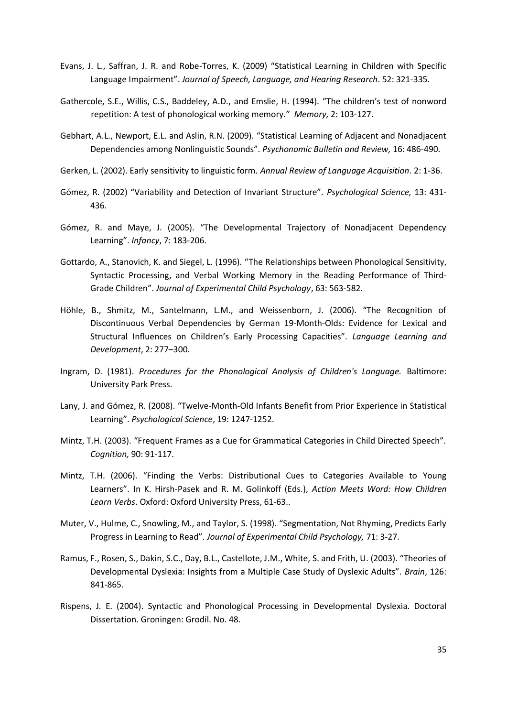- Evans, J. L., Saffran, J. R. and Robe-Torres, K. (2009) "Statistical Learning in Children with Specific Language Impairment". *Journal of Speech, Language, and Hearing Research*. 52: 321-335.
- Gathercole, S.E., Willis, C.S., Baddeley, A.D., and Emslie, H. (1994). "The children's test of nonword repetition: A test of phonological working memory." *Memory,* 2: 103-127.
- Gebhart, A.L., Newport, E.L. and Aslin, R.N. (2009). "Statistical Learning of Adjacent and Nonadjacent Dependencies among Nonlinguistic Sounds". *Psychonomic Bulletin and Review,* 16: 486-490.
- Gerken, L. (2002). Early sensitivity to linguistic form. *Annual Review of Language Acquisition*. 2: 1-36.
- Gómez, R. (2002) "Variability and Detection of Invariant Structure". *Psychological Science,* 13: 431- 436.
- Gómez, R. and Maye, J. (2005). "The Developmental Trajectory of Nonadjacent Dependency Learning". *Infancy*, 7: 183-206.
- Gottardo, A., Stanovich, K. and Siegel, L. (1996). "The Relationships between Phonological Sensitivity, Syntactic Processing, and Verbal Working Memory in the Reading Performance of Third-Grade Children". *Journal of Experimental Child Psychology*, 63: 563-582.
- Höhle, B., Shmitz, M., Santelmann, L.M., and Weissenborn, J. (2006). "The Recognition of Discontinuous Verbal Dependencies by German 19-Month-Olds: Evidence for Lexical and Structural Influences on Children's Early Processing Capacities". *Language Learning and Development*, 2: 277–300.
- Ingram, D. (1981). *Procedures for the Phonological Analysis of Children's Language.* Baltimore: University Park Press.
- Lany, J. and Gómez, R. (2008). "Twelve-Month-Old Infants Benefit from Prior Experience in Statistical Learning". *Psychological Science*, 19: 1247-1252.
- Mintz, T.H. (2003). "Frequent Frames as a Cue for Grammatical Categories in Child Directed Speech". *Cognition,* 90: 91-117.
- Mintz, T.H. (2006). "Finding the Verbs: Distributional Cues to Categories Available to Young Learners". In K. Hirsh-Pasek and R. M. Golinkoff (Eds.), *Action Meets Word: How Children Learn Verbs*. Oxford: Oxford University Press, 61-63..
- Muter, V., Hulme, C., Snowling, M., and Taylor, S. (1998). "Segmentation, Not Rhyming, Predicts Early Progress in Learning to Read". *Journal of Experimental Child Psychology,* 71: 3-27.
- Ramus, F., Rosen, S., Dakin, S.C., Day, B.L., Castellote, J.M., White, S. and Frith, U. (2003). "Theories of Developmental Dyslexia: Insights from a Multiple Case Study of Dyslexic Adults". *Brain*, 126: 841-865.
- Rispens, J. E. (2004). Syntactic and Phonological Processing in Developmental Dyslexia. Doctoral Dissertation. Groningen: Grodil. No. 48.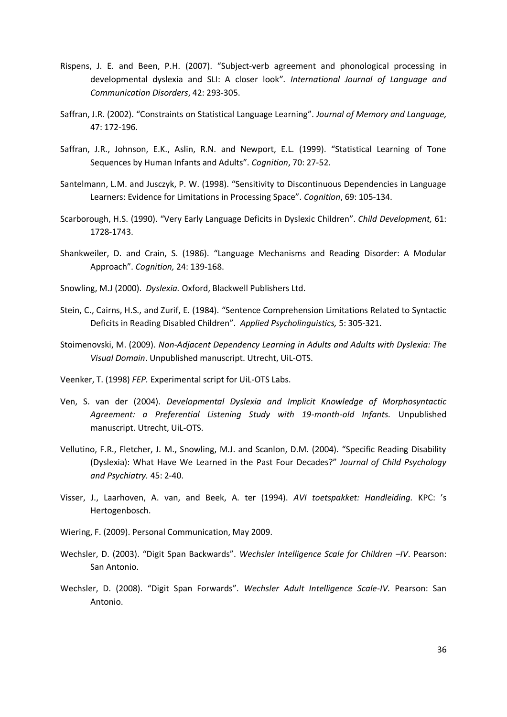- Rispens, J. E. and Been, P.H. (2007). "Subject-verb agreement and phonological processing in developmental dyslexia and SLI: A closer look". *International Journal of Language and Communication Disorders*, 42: 293-305.
- Saffran, J.R. (2002). "Constraints on Statistical Language Learning". *Journal of Memory and Language,* 47: 172-196.
- Saffran, J.R., Johnson, E.K., Aslin, R.N. and Newport, E.L. (1999). "Statistical Learning of Tone Sequences by Human Infants and Adults". *Cognition*, 70: 27-52.
- Santelmann, L.M. and Jusczyk, P. W. (1998). "Sensitivity to Discontinuous Dependencies in Language Learners: Evidence for Limitations in Processing Space". *Cognition*, 69: 105-134.
- Scarborough, H.S. (1990). "Very Early Language Deficits in Dyslexic Children". *Child Development,* 61: 1728-1743.
- Shankweiler, D. and Crain, S. (1986). "Language Mechanisms and Reading Disorder: A Modular Approach". *Cognition,* 24: 139-168.
- Snowling, M.J (2000). *Dyslexia.* Oxford, Blackwell Publishers Ltd.
- Stein, C., Cairns, H.S., and Zurif, E. (1984). "Sentence Comprehension Limitations Related to Syntactic Deficits in Reading Disabled Children". *Applied Psycholinguistics,* 5: 305-321.
- Stoimenovski, M. (2009). *Non-Adjacent Dependency Learning in Adults and Adults with Dyslexia: The Visual Domain*. Unpublished manuscript. Utrecht, UiL-OTS.
- Veenker, T. (1998) *FEP.* Experimental script for UiL-OTS Labs.
- Ven, S. van der (2004). *Developmental Dyslexia and Implicit Knowledge of Morphosyntactic Agreement: a Preferential Listening Study with 19-month-old Infants.* Unpublished manuscript. Utrecht, UiL-OTS.
- Vellutino, F.R., Fletcher, J. M., Snowling, M.J. and Scanlon, D.M. (2004). "Specific Reading Disability (Dyslexia): What Have We Learned in the Past Four Decades?" *Journal of Child Psychology and Psychiatry.* 45: 2-40.
- Visser, J., Laarhoven, A. van, and Beek, A. ter (1994). *AVI toetspakket: Handleiding.* KPC: 's Hertogenbosch.
- Wiering, F. (2009). Personal Communication, May 2009.
- Wechsler, D. (2003). "Digit Span Backwards". *Wechsler Intelligence Scale for Children –IV*. Pearson: San Antonio.
- Wechsler, D. (2008). "Digit Span Forwards". *Wechsler Adult Intelligence Scale-IV.* Pearson: San Antonio.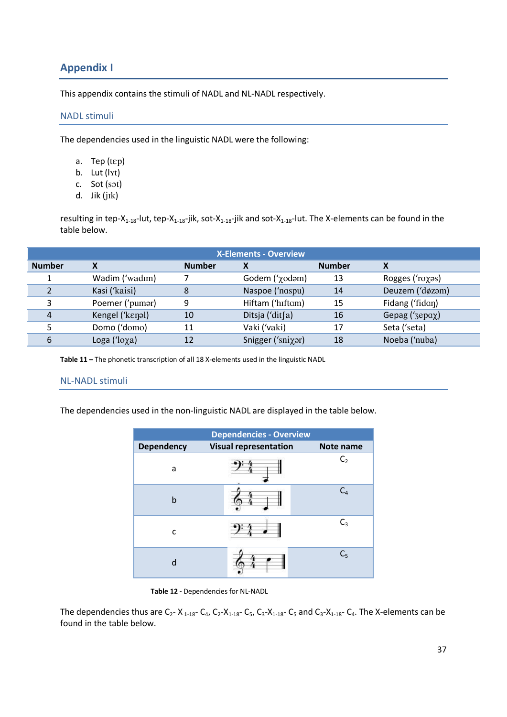## **Appendix I**

<span id="page-36-0"></span>This appendix contains the stimuli of NADL and NL-NADL respectively.

#### <span id="page-36-1"></span>NADL stimuli

The dependencies used in the linguistic NADL were the following:

- a. Tep  $(tep)$
- b. Lut  $(\vert \gamma t)$
- c. Sot (sot)
- d. Jik (jīk)

resulting in tep-X<sub>1-18</sub>-lut, tep-X<sub>1-18</sub>-jik, sot-X<sub>1-18</sub>-jik and sot-X<sub>1-18</sub>-lut. The X-elements can be found in the table below.

| <b>X-Elements - Overview</b> |                  |               |                                      |               |                 |  |
|------------------------------|------------------|---------------|--------------------------------------|---------------|-----------------|--|
| <b>Number</b>                | X                | <b>Number</b> | Χ                                    | <b>Number</b> | X               |  |
|                              | Wadim ('wadim)   |               | Godem $('$ $\chi$ od $\varphi$ m $)$ | 13            | Rogges ('roχəs) |  |
|                              | Kasi ('kaisi)    | 8             | Naspoe ('naspu)                      | 14            | Deuzem ('døzam) |  |
| 3                            | Poemer ('pumar)  | 9             | Hiftam ('hiftam)                     | 15            | Fidang ('fidan) |  |
| 4                            | Kengel ('kenal)  | 10            | Ditsja ('dit $[a]$                   | 16            | Gepag ('3epαχ)  |  |
|                              | Domo ('domo)     | 11            | Vaki ('vaki)                         | 17            | Seta ('seta)    |  |
| 6                            | Loga (' $loga$ ) | 12            | Snigger ('sniχar)                    | 18            | Noeba ('nuba)   |  |

**Table 11 –** The phonetic transcription of all 18 X-elements used in the linguistic NADL

#### <span id="page-36-2"></span>NL-NADL stimuli

The dependencies used in the non-linguistic NADL are displayed in the table below.

| <b>Dependencies - Overview</b> |                              |                |  |  |  |
|--------------------------------|------------------------------|----------------|--|--|--|
| <b>Dependency</b>              | <b>Visual representation</b> | Note name      |  |  |  |
| a                              |                              | C <sub>2</sub> |  |  |  |
| b                              |                              | $C_4$          |  |  |  |
| C                              |                              | $C_3$          |  |  |  |
| d                              |                              | C <sub>5</sub> |  |  |  |

**Table 12 -** Dependencies for NL-NADL

The dependencies thus are  $C_2$ - X<sub>1-18</sub>-  $C_4$ ,  $C_2$ -X<sub>1-18</sub>-  $C_5$ ,  $C_3$ -X<sub>1-18</sub>-  $C_5$  and  $C_3$ -X<sub>1-18</sub>-  $C_4$ . The X-elements can be found in the table below.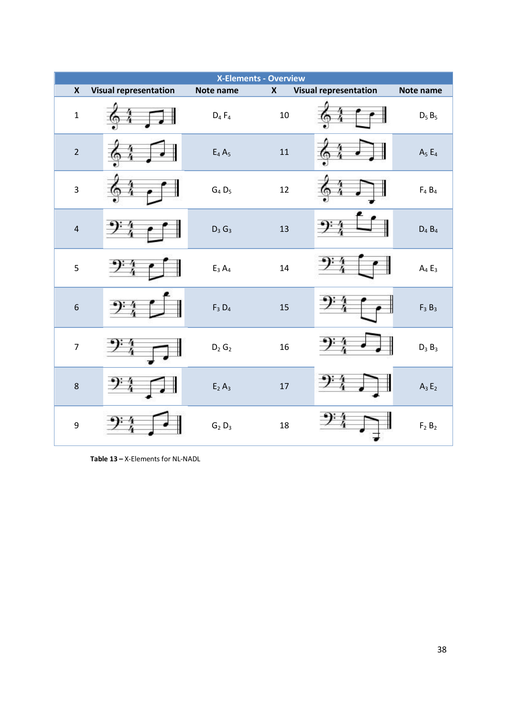| <b>X-Elements - Overview</b> |                              |                              |                    |                              |                               |  |
|------------------------------|------------------------------|------------------------------|--------------------|------------------------------|-------------------------------|--|
| $\boldsymbol{X}$             | <b>Visual representation</b> | Note name                    | $\pmb{\mathsf{X}}$ | <b>Visual representation</b> | Note name                     |  |
| $\mathbf 1$                  |                              | $D_4 F_4$                    | $10\,$             |                              | $D_5 B_5$                     |  |
| $\overline{2}$               |                              | $\mathsf{E}_4\,\mathsf{A}_5$ | 11                 |                              | $A_5E_4$                      |  |
| $\overline{3}$               |                              | $G_4 D_5$                    | 12                 |                              | $\mathsf{F}_4$ $\mathsf{B}_4$ |  |
| $\overline{4}$               |                              | $D_3$ $G_3$                  | 13                 |                              | $D_4 B_4$                     |  |
| $\overline{5}$               |                              | $\mathsf{E}_3\,\mathsf{A}_4$ | 14                 |                              | $A_4E_3$                      |  |
| $\sqrt{6}$                   |                              | $\mathsf{F}_3~\mathsf{D}_4$  | 15                 |                              | $F_3B_3$                      |  |
| $\overline{7}$               |                              | $D_2$ $G_2$                  | 16                 |                              | $D_3B_3$                      |  |
| 8                            |                              | $E_2 A_3$                    | 17                 |                              | $A_3E_2$                      |  |
| 9                            |                              | $G_2 D_3$                    | 18                 |                              | $F_2B_2$                      |  |

**Table 13 –** X-Elements for NL-NADL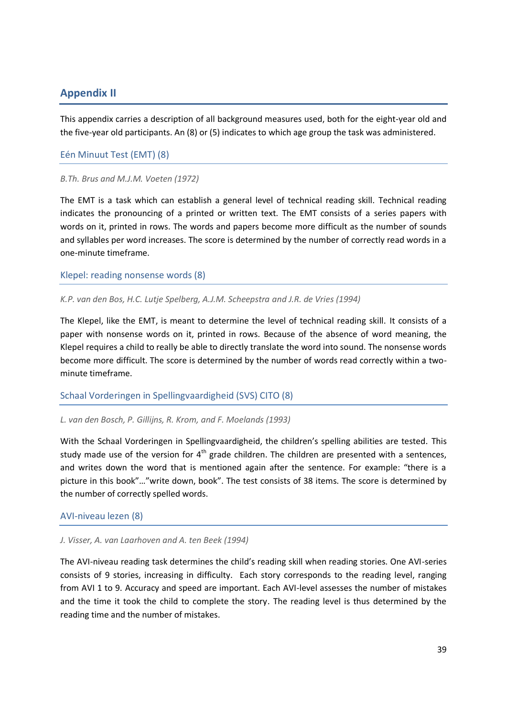## <span id="page-38-0"></span>**Appendix II**

This appendix carries a description of all background measures used, both for the eight-year old and the five-year old participants. An (8) or (5) indicates to which age group the task was administered.

#### <span id="page-38-1"></span>Eén Minuut Test (EMT) (8)

#### *B.Th. Brus and M.J.M. Voeten (1972)*

The EMT is a task which can establish a general level of technical reading skill. Technical reading indicates the pronouncing of a printed or written text. The EMT consists of a series papers with words on it, printed in rows. The words and papers become more difficult as the number of sounds and syllables per word increases. The score is determined by the number of correctly read words in a one-minute timeframe.

<span id="page-38-2"></span>Klepel: reading nonsense words (8)

#### *K.P. van den Bos, H.C. Lutje Spelberg, A.J.M. Scheepstra and J.R. de Vries (1994)*

The Klepel, like the EMT, is meant to determine the level of technical reading skill. It consists of a paper with nonsense words on it, printed in rows. Because of the absence of word meaning, the Klepel requires a child to really be able to directly translate the word into sound. The nonsense words become more difficult. The score is determined by the number of words read correctly within a twominute timeframe.

#### <span id="page-38-3"></span>Schaal Vorderingen in Spellingvaardigheid (SVS) CITO (8)

#### *L. van den Bosch, P. Gillijns, R. Krom, and F. Moelands (1993)*

With the Schaal Vorderingen in Spellingvaardigheid, the children's spelling abilities are tested. This study made use of the version for  $4<sup>th</sup>$  grade children. The children are presented with a sentences, and writes down the word that is mentioned again after the sentence. For example: "there is a picture in this book"…"write down, book". The test consists of 38 items. The score is determined by the number of correctly spelled words.

#### <span id="page-38-4"></span>AVI-niveau lezen (8)

#### *J. Visser, A. van Laarhoven and A. ten Beek (1994)*

The AVI-niveau reading task determines the child's reading skill when reading stories. One AVI-series consists of 9 stories, increasing in difficulty. Each story corresponds to the reading level, ranging from AVI 1 to 9. Accuracy and speed are important. Each AVI-level assesses the number of mistakes and the time it took the child to complete the story. The reading level is thus determined by the reading time and the number of mistakes.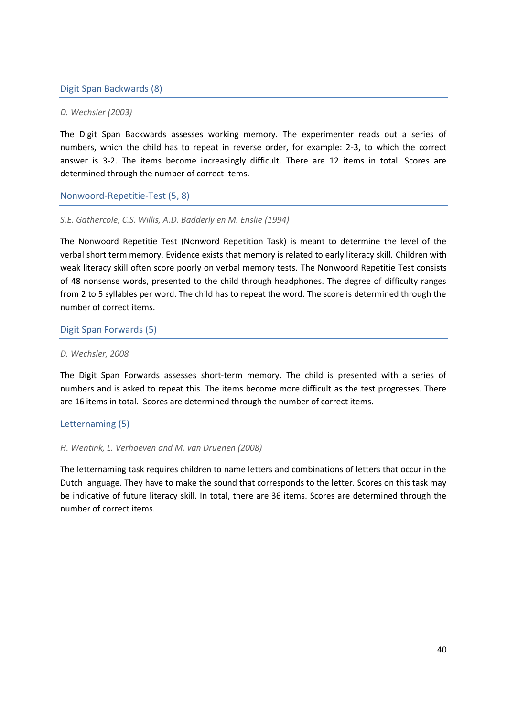#### <span id="page-39-0"></span>Digit Span Backwards (8)

#### *D. Wechsler (2003)*

The Digit Span Backwards assesses working memory. The experimenter reads out a series of numbers, which the child has to repeat in reverse order, for example: 2-3, to which the correct answer is 3-2. The items become increasingly difficult. There are 12 items in total. Scores are determined through the number of correct items.

<span id="page-39-1"></span>Nonwoord-Repetitie-Test (5, 8)

#### *S.E. Gathercole, C.S. Willis, A.D. Badderly en M. Enslie (1994)*

The Nonwoord Repetitie Test (Nonword Repetition Task) is meant to determine the level of the verbal short term memory. Evidence exists that memory is related to early literacy skill. Children with weak literacy skill often score poorly on verbal memory tests. The Nonwoord Repetitie Test consists of 48 nonsense words, presented to the child through headphones. The degree of difficulty ranges from 2 to 5 syllables per word. The child has to repeat the word. The score is determined through the number of correct items.

<span id="page-39-2"></span>Digit Span Forwards (5)

#### *D. Wechsler, 2008*

The Digit Span Forwards assesses short-term memory. The child is presented with a series of numbers and is asked to repeat this. The items become more difficult as the test progresses. There are 16 items in total. Scores are determined through the number of correct items.

#### <span id="page-39-3"></span>Letternaming (5)

#### *H. Wentink, L. Verhoeven and M. van Druenen (2008)*

The letternaming task requires children to name letters and combinations of letters that occur in the Dutch language. They have to make the sound that corresponds to the letter. Scores on this task may be indicative of future literacy skill. In total, there are 36 items. Scores are determined through the number of correct items.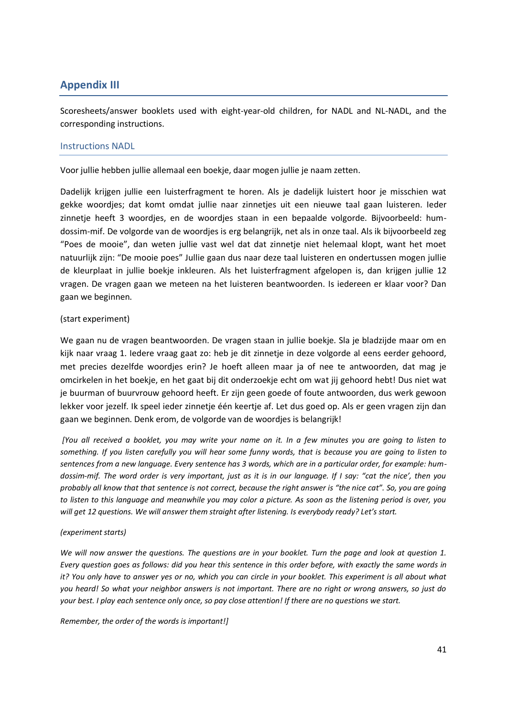## <span id="page-40-0"></span>**Appendix III**

Scoresheets/answer booklets used with eight-year-old children, for NADL and NL-NADL, and the corresponding instructions.

#### <span id="page-40-1"></span>Instructions NADL

Voor jullie hebben jullie allemaal een boekje, daar mogen jullie je naam zetten.

Dadelijk krijgen jullie een luisterfragment te horen. Als je dadelijk luistert hoor je misschien wat gekke woordjes; dat komt omdat jullie naar zinnetjes uit een nieuwe taal gaan luisteren. Ieder zinnetje heeft 3 woordjes, en de woordjes staan in een bepaalde volgorde. Bijvoorbeeld: humdossim-mif. De volgorde van de woordjes is erg belangrijk, net als in onze taal. Als ik bijvoorbeeld zeg "Poes de mooie", dan weten jullie vast wel dat dat zinnetje niet helemaal klopt, want het moet natuurlijk zijn: "De mooie poes" Jullie gaan dus naar deze taal luisteren en ondertussen mogen jullie de kleurplaat in jullie boekje inkleuren. Als het luisterfragment afgelopen is, dan krijgen jullie 12 vragen. De vragen gaan we meteen na het luisteren beantwoorden. Is iedereen er klaar voor? Dan gaan we beginnen.

#### (start experiment)

We gaan nu de vragen beantwoorden. De vragen staan in jullie boekje. Sla je bladzijde maar om en kijk naar vraag 1. Iedere vraag gaat zo: heb je dit zinnetje in deze volgorde al eens eerder gehoord, met precies dezelfde woordjes erin? Je hoeft alleen maar ja of nee te antwoorden, dat mag je omcirkelen in het boekje, en het gaat bij dit onderzoekje echt om wat jij gehoord hebt! Dus niet wat je buurman of buurvrouw gehoord heeft. Er zijn geen goede of foute antwoorden, dus werk gewoon lekker voor jezelf. Ik speel ieder zinnetje één keertje af. Let dus goed op. Als er geen vragen zijn dan gaan we beginnen. Denk erom, de volgorde van de woordjes is belangrijk!

*[You all received a booklet, you may write your name on it. In a few minutes you are going to listen to something. If you listen carefully you will hear some funny words, that is because you are going to listen to sentences from a new language. Every sentence has 3 words, which are in a particular order, for example: humdossim-mif. The word order is very important, just as it is in our language. If I say: "cat the nice', then you probably all know that that sentence is not correct, because the right answer is "the nice cat". So, you are going to listen to this language and meanwhile you may color a picture. As soon as the listening period is over, you will get 12 questions. We will answer them straight after listening. Is everybody ready? Let's start.*

#### *(experiment starts)*

*We will now answer the questions. The questions are in your booklet. Turn the page and look at question 1. Every question goes as follows: did you hear this sentence in this order before, with exactly the same words in it? You only have to answer yes or no, which you can circle in your booklet. This experiment is all about what you heard! So what your neighbor answers is not important. There are no right or wrong answers, so just do your best. I play each sentence only once, so pay close attention! If there are no questions we start.* 

*Remember, the order of the words is important!]*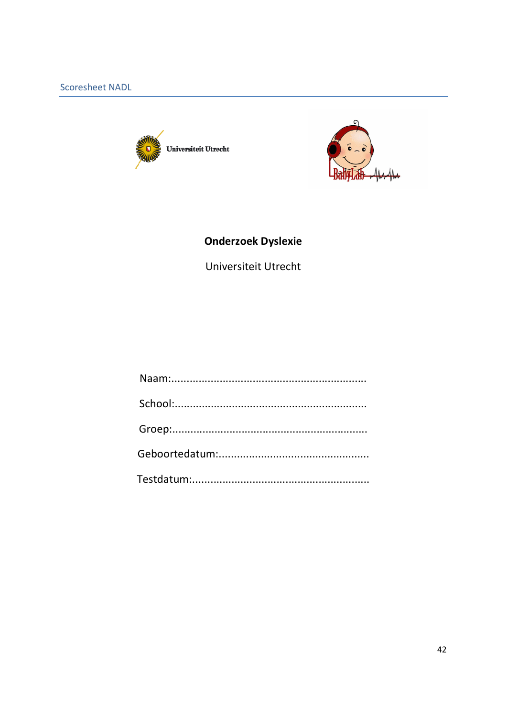<span id="page-41-0"></span>



# **Onderzoek Dyslexie**

Universiteit Utrecht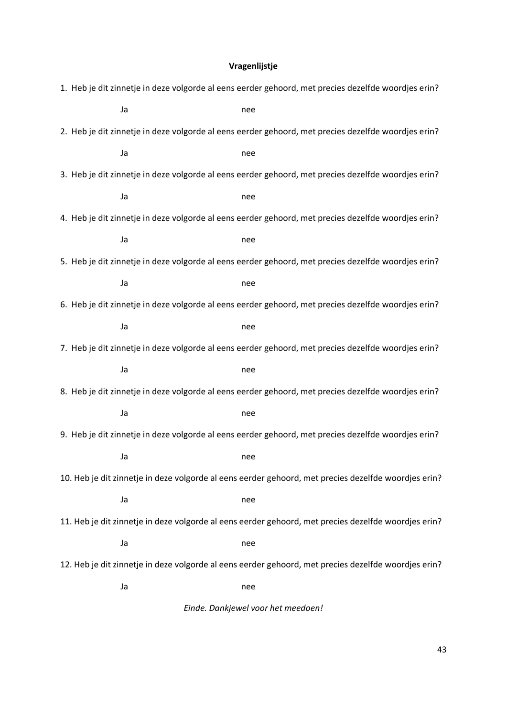## **Vragenlijstje**

|                                                                                                      |                                                                                                     | 1. Heb je dit zinnetje in deze volgorde al eens eerder gehoord, met precies dezelfde woordjes erin? |  |  |  |  |
|------------------------------------------------------------------------------------------------------|-----------------------------------------------------------------------------------------------------|-----------------------------------------------------------------------------------------------------|--|--|--|--|
|                                                                                                      | Ja                                                                                                  | nee                                                                                                 |  |  |  |  |
|                                                                                                      |                                                                                                     | 2. Heb je dit zinnetje in deze volgorde al eens eerder gehoord, met precies dezelfde woordjes erin? |  |  |  |  |
|                                                                                                      | Ja                                                                                                  | nee                                                                                                 |  |  |  |  |
|                                                                                                      |                                                                                                     | 3. Heb je dit zinnetje in deze volgorde al eens eerder gehoord, met precies dezelfde woordjes erin? |  |  |  |  |
|                                                                                                      | Ja                                                                                                  | nee                                                                                                 |  |  |  |  |
|                                                                                                      | 4. Heb je dit zinnetje in deze volgorde al eens eerder gehoord, met precies dezelfde woordjes erin? |                                                                                                     |  |  |  |  |
|                                                                                                      | Ja                                                                                                  | nee                                                                                                 |  |  |  |  |
|                                                                                                      |                                                                                                     | 5. Heb je dit zinnetje in deze volgorde al eens eerder gehoord, met precies dezelfde woordjes erin? |  |  |  |  |
|                                                                                                      | Ja                                                                                                  | nee                                                                                                 |  |  |  |  |
| 6. Heb je dit zinnetje in deze volgorde al eens eerder gehoord, met precies dezelfde woordjes erin?  |                                                                                                     |                                                                                                     |  |  |  |  |
|                                                                                                      | Ja                                                                                                  | nee                                                                                                 |  |  |  |  |
| 7. Heb je dit zinnetje in deze volgorde al eens eerder gehoord, met precies dezelfde woordjes erin?  |                                                                                                     |                                                                                                     |  |  |  |  |
|                                                                                                      | Ja                                                                                                  | nee                                                                                                 |  |  |  |  |
| 8. Heb je dit zinnetje in deze volgorde al eens eerder gehoord, met precies dezelfde woordjes erin?  |                                                                                                     |                                                                                                     |  |  |  |  |
|                                                                                                      | Ja                                                                                                  | nee                                                                                                 |  |  |  |  |
| 9. Heb je dit zinnetje in deze volgorde al eens eerder gehoord, met precies dezelfde woordjes erin?  |                                                                                                     |                                                                                                     |  |  |  |  |
|                                                                                                      | Ja                                                                                                  | nee                                                                                                 |  |  |  |  |
| 10. Heb je dit zinnetje in deze volgorde al eens eerder gehoord, met precies dezelfde woordjes erin? |                                                                                                     |                                                                                                     |  |  |  |  |
|                                                                                                      | Ja                                                                                                  | nee                                                                                                 |  |  |  |  |
| 11. Heb je dit zinnetje in deze volgorde al eens eerder gehoord, met precies dezelfde woordjes erin? |                                                                                                     |                                                                                                     |  |  |  |  |
|                                                                                                      | Ja                                                                                                  | nee                                                                                                 |  |  |  |  |
| 12. Heb je dit zinnetje in deze volgorde al eens eerder gehoord, met precies dezelfde woordjes erin? |                                                                                                     |                                                                                                     |  |  |  |  |
|                                                                                                      | Ja                                                                                                  | nee                                                                                                 |  |  |  |  |
| Einde. Dankjewel voor het meedoen!                                                                   |                                                                                                     |                                                                                                     |  |  |  |  |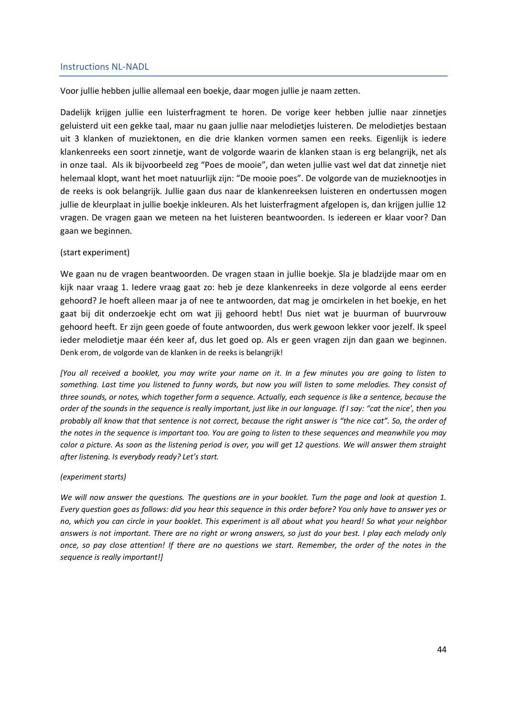#### <span id="page-43-0"></span>Instructions NL-NADL

Voor jullie hebben jullie allemaal een boekje, daar mogen jullie je naam zetten.

Dadelijk krijgen jullie een luisterfragment te horen. De vorige keer hebben jullie naar zinnetjes geluisterd uit een gekke taal, maar nu gaan jullie naar melodietjes luisteren. De melodietjes bestaan uit 3 klanken of muziektonen, en die drie klanken vormen samen een reeks. Eigenlijk is iedere klankenreeks een soort zinnetje, want de volgorde waarin de klanken staan is erg belangrijk, net als in onze taal. Als ik bijvoorbeeld zeg "Poes de mooie", dan weten jullie vast wel dat dat zinnetje niet helemaal klopt, want het moet natuurlijk zijn: "De mooie poes". De volgorde van de muzieknootjes in de reeks is ook belangrijk. Jullie gaan dus naar de klankenreeksen luisteren en ondertussen mogen jullie de kleurplaat in jullie boekje inkleuren. Als het luisterfragment afgelopen is, dan krijgen jullie 12 vragen. De vragen gaan we meteen na het luisteren beantwoorden. Is iedereen er klaar voor? Dan gaan we beginnen.

#### (start experiment)

We gaan nu de vragen beantwoorden. De vragen staan in jullie boekje. Sla je bladzijde maar om en kijk naar vraag 1. Iedere vraag gaat zo: heb je deze klankenreeks in deze volgorde al eens eerder gehoord? Je hoeft alleen maar ja of nee te antwoorden, dat mag je omcirkelen in het boekje, en het gaat bij dit onderzoekje echt om wat jij gehoord hebt! Dus niet wat je buurman of buurvrouw gehoord heeft. Er zijn geen goede of foute antwoorden, dus werk gewoon lekker voor jezelf. Ik speel ieder melodietje maar één keer af, dus let goed op. Als er geen vragen zijn dan gaan we beginnen. Denk erom, de volgorde van de klanken in de reeks is belangrijk!

*[You all received a booklet, you may write your name on it. In a few minutes you are going to listen to something. Last time you listened to funny words, but now you will listen to some melodies. They consist of three sounds, or notes, which together form a sequence. Actually, each sequence is like a sentence, because the order of the sounds in the sequence is really important, just like in our language. If I say: "cat the nice', then you probably all know that that sentence is not correct, because the right answer is "the nice cat". So, the order of the notes in the sequence is important too. You are going to listen to these sequences and meanwhile you may color a picture. As soon as the listening period is over, you will get 12 questions. We will answer them straight after listening. Is everybody ready? Let's start.*

#### *(experiment starts)*

*We will now answer the questions. The questions are in your booklet. Turn the page and look at question 1. Every question goes as follows: did you hear this sequence in this order before? You only have to answer yes or no, which you can circle in your booklet. This experiment is all about what you heard! So what your neighbor answers is not important. There are no right or wrong answers, so just do your best. I play each melody only once, so pay close attention! If there are no questions we start. Remember, the order of the notes in the sequence is really important!]*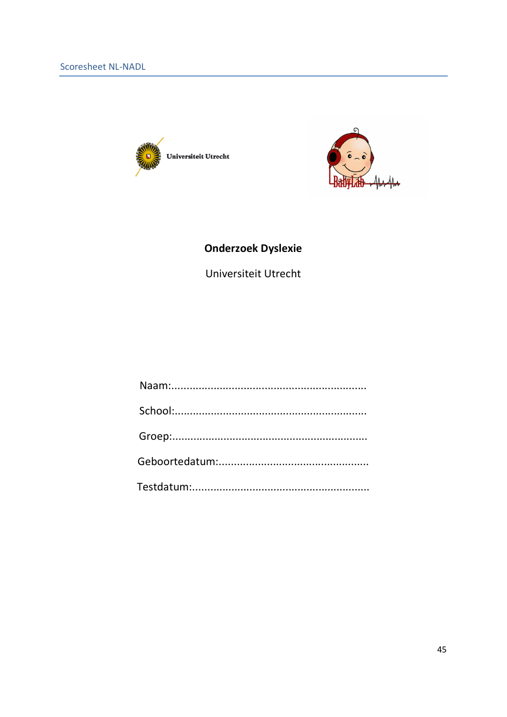<span id="page-44-0"></span>



## **Onderzoek Dyslexie**

Universiteit Utrecht